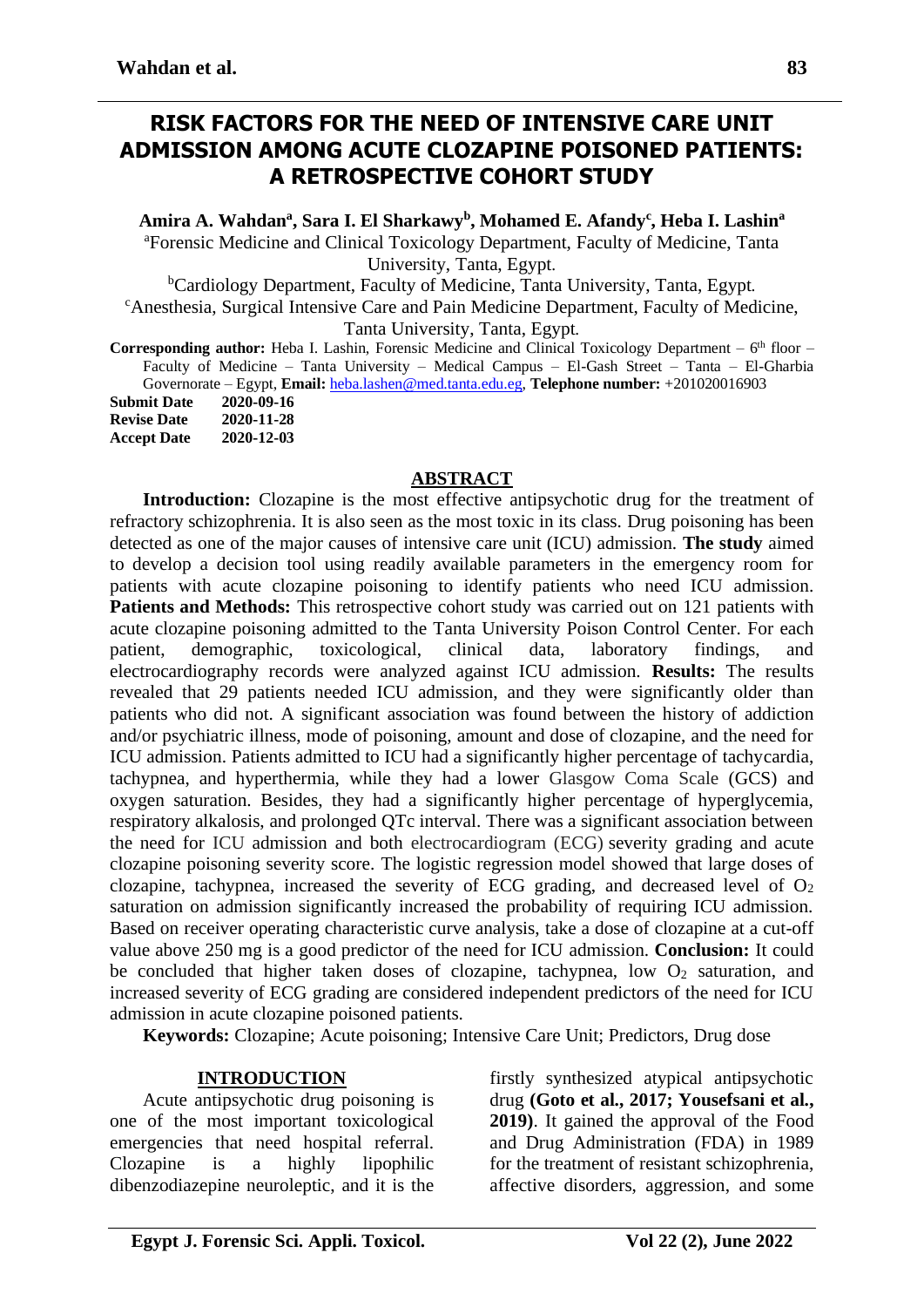# **RISK FACTORS FOR THE NEED OF INTENSIVE CARE UNIT ADMISSION AMONG ACUTE CLOZAPINE POISONED PATIENTS: A RETROSPECTIVE COHORT STUDY**

**Amira A. Wahdan<sup>a</sup> , Sara I. El Sharkawy<sup>b</sup> , Mohamed E. Afandy<sup>c</sup> , Heba I. Lashin<sup>a</sup>**

<sup>a</sup>Forensic Medicine and Clinical Toxicology Department, Faculty of Medicine, Tanta University, Tanta, Egypt.

<sup>b</sup>Cardiology Department, Faculty of Medicine, Tanta University, Tanta, Egypt. <sup>c</sup>Anesthesia, Surgical Intensive Care and Pain Medicine Department, Faculty of Medicine, Tanta University, Tanta, Egypt.

Corresponding author: Heba I. Lashin, Forensic Medicine and Clinical Toxicology Department - 6<sup>th</sup> floor -Faculty of Medicine – Tanta University – Medical Campus – El-Gash Street – Tanta – El-Gharbia Governorate – Egypt, **Email:** [heba.lashen@med.tanta.edu.eg,](mailto:heba.lashen@med.tanta.edu.eg) **Telephone number:** +201020016903

| <b>Submit Date</b> | 2020-09-16 |
|--------------------|------------|
| <b>Revise Date</b> | 2020-11-28 |
| <b>Accept Date</b> | 2020-12-03 |

#### **ABSTRACT**

Introduction: Clozapine is the most effective antipsychotic drug for the treatment of refractory schizophrenia. It is also seen as the most toxic in its class. Drug poisoning has been detected as one of the major causes of intensive care unit (ICU) admission. **The study** aimed to develop a decision tool using readily available parameters in the emergency room for patients with acute clozapine poisoning to identify patients who need ICU admission. Patients and Methods: This retrospective cohort study was carried out on 121 patients with acute clozapine poisoning admitted to the Tanta University Poison Control Center. For each patient, demographic, toxicological, clinical data, laboratory findings, and electrocardiography records were analyzed against ICU admission. **Results:** The results revealed that 29 patients needed ICU admission, and they were significantly older than patients who did not. A significant association was found between the history of addiction and/or psychiatric illness, mode of poisoning, amount and dose of clozapine, and the need for ICU admission. Patients admitted to ICU had a significantly higher percentage of tachycardia, tachypnea, and hyperthermia, while they had a lower Glasgow Coma Scale (GCS) and oxygen saturation. Besides, they had a significantly higher percentage of hyperglycemia, respiratory alkalosis, and prolonged QTc interval. There was a significant association between the need for ICU admission and both electrocardiogram (ECG) severity grading and acute clozapine poisoning severity score. The logistic regression model showed that large doses of clozapine, tachypnea, increased the severity of ECG grading, and decreased level of  $O<sub>2</sub>$ saturation on admission significantly increased the probability of requiring ICU admission. Based on receiver operating characteristic curve analysis, take a dose of clozapine at a cut-off value above 250 mg is a good predictor of the need for ICU admission. **Conclusion:** It could be concluded that higher taken doses of clozapine, tachypnea, low  $O_2$  saturation, and increased severity of ECG grading are considered independent predictors of the need for ICU admission in acute clozapine poisoned patients.

**Keywords:** Clozapine; Acute poisoning; Intensive Care Unit; Predictors, Drug dose

#### **INTRODUCTION**

Acute antipsychotic drug poisoning is one of the most important toxicological emergencies that need hospital referral. Clozapine is a highly lipophilic dibenzodiazepine neuroleptic, and it is the firstly synthesized atypical antipsychotic drug **(Goto et al., 2017; Yousefsani et al., 2019)**. It gained the approval of the Food and Drug Administration (FDA) in 1989 for the treatment of resistant schizophrenia, affective disorders, aggression, and some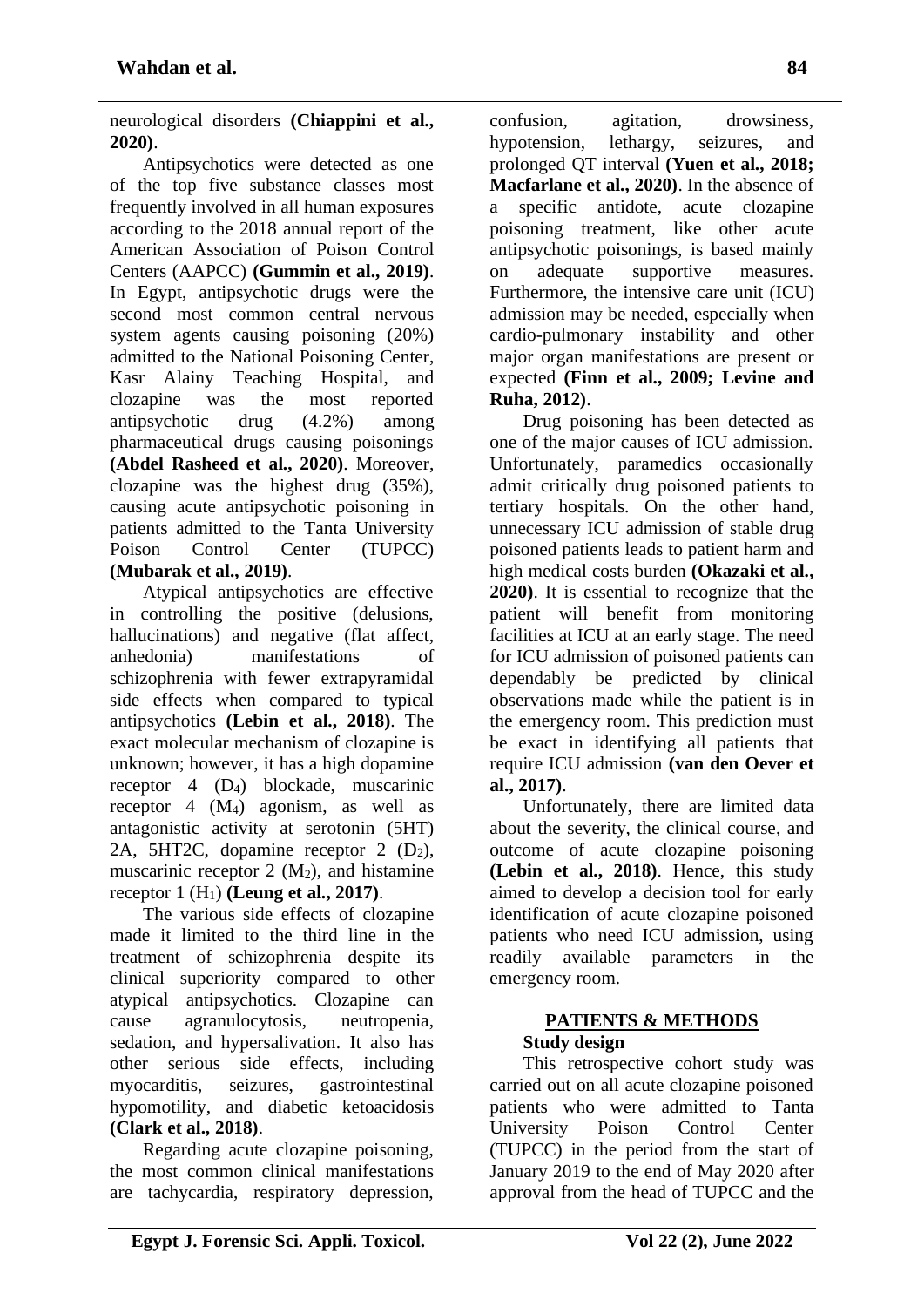neurological disorders **(Chiappini et al., 2020)**.

Antipsychotics were detected as one of the top five substance classes most frequently involved in all human exposures according to the 2018 annual report of the American Association of Poison Control Centers (AAPCC) **(Gummin et al., 2019)**. In Egypt, antipsychotic drugs were the second most common central nervous system agents causing poisoning (20%) admitted to the National Poisoning Center, Kasr Alainy Teaching Hospital, and clozapine was the most reported antipsychotic drug (4.2%) among pharmaceutical drugs causing poisonings **(Abdel Rasheed et al., 2020)**. Moreover, clozapine was the highest drug (35%), causing acute antipsychotic poisoning in patients admitted to the Tanta University Poison Control Center (TUPCC) **(Mubarak et al., 2019)**.

Atypical antipsychotics are effective in controlling the positive (delusions, hallucinations) and negative (flat affect, anhedonia) manifestations of schizophrenia with fewer extrapyramidal side effects when compared to typical antipsychotics **(Lebin et al., 2018)**. The exact molecular mechanism of clozapine is unknown; however, it has a high dopamine receptor 4 (D4) blockade, muscarinic receptor  $4 \, (M_4)$  agonism, as well as antagonistic activity at serotonin (5HT) 2A, 5HT2C, dopamine receptor 2  $(D_2)$ , muscarinic receptor  $2 \ (M_2)$ , and histamine receptor 1 (H1) **(Leung et al., 2017)**.

The various side effects of clozapine made it limited to the third line in the treatment of schizophrenia despite its clinical superiority compared to other atypical antipsychotics. Clozapine can cause agranulocytosis, neutropenia, sedation, and hypersalivation. It also has other serious side effects, including myocarditis, seizures, gastrointestinal hypomotility, and diabetic ketoacidosis **(Clark et al., 2018)**.

Regarding acute clozapine poisoning, the most common clinical manifestations are tachycardia, respiratory depression, confusion, agitation, drowsiness, hypotension, lethargy, seizures, and prolonged QT interval **(Yuen et al., 2018; Macfarlane et al., 2020)**. In the absence of a specific antidote, acute clozapine poisoning treatment, like other acute antipsychotic poisonings, is based mainly on adequate supportive measures. Furthermore, the intensive care unit (ICU) admission may be needed, especially when cardio-pulmonary instability and other major organ manifestations are present or expected **(Finn et al., 2009; Levine and Ruha, 2012)**.

Drug poisoning has been detected as one of the major causes of ICU admission. Unfortunately, paramedics occasionally admit critically drug poisoned patients to tertiary hospitals. On the other hand, unnecessary ICU admission of stable drug poisoned patients leads to patient harm and high medical costs burden **(Okazaki et al., 2020)**. It is essential to recognize that the patient will benefit from monitoring facilities at ICU at an early stage. The need for ICU admission of poisoned patients can dependably be predicted by clinical observations made while the patient is in the emergency room. This prediction must be exact in identifying all patients that require ICU admission **(van den Oever et al., 2017)**.

Unfortunately, there are limited data about the severity, the clinical course, and outcome of acute clozapine poisoning **(Lebin et al., 2018)**. Hence, this study aimed to develop a decision tool for early identification of acute clozapine poisoned patients who need ICU admission, using readily available parameters in the emergency room.

#### **PATIENTS & METHODS Study design**

This retrospective cohort study was carried out on all acute clozapine poisoned patients who were admitted to Tanta University Poison Control Center (TUPCC) in the period from the start of January 2019 to the end of May 2020 after approval from the head of TUPCC and the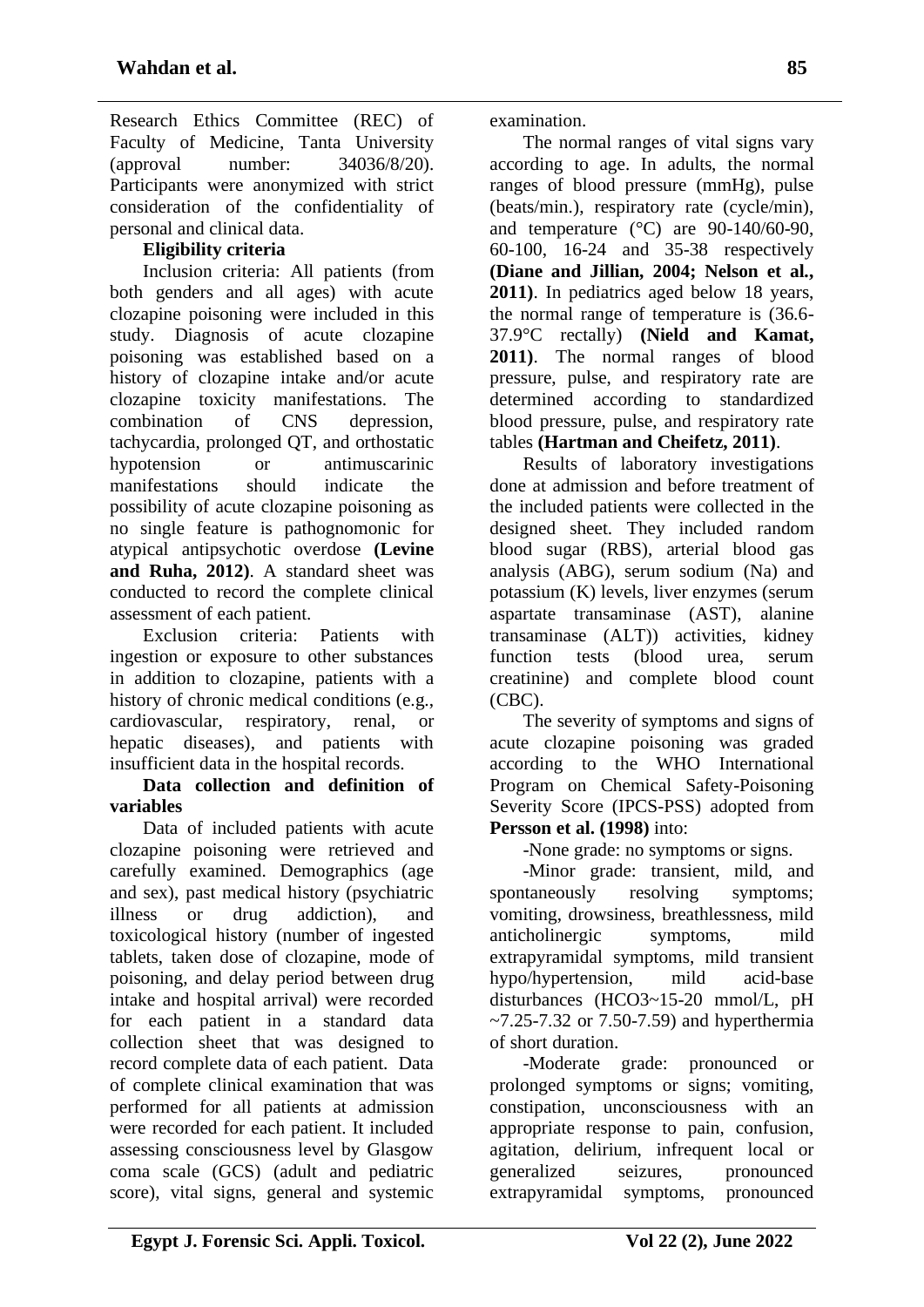Research Ethics Committee (REC) of Faculty of Medicine, Tanta University (approval number: 34036/8/20). Participants were anonymized with strict consideration of the confidentiality of personal and clinical data.

# **Eligibility criteria**

Inclusion criteria: All patients (from both genders and all ages) with acute clozapine poisoning were included in this study. Diagnosis of acute clozapine poisoning was established based on a history of clozapine intake and/or acute clozapine toxicity manifestations. The combination of CNS depression, tachycardia, prolonged QT, and orthostatic hypotension or antimuscarinic manifestations should indicate the possibility of acute clozapine poisoning as no single feature is pathognomonic for atypical antipsychotic overdose **(Levine and Ruha, 2012)**. A standard sheet was conducted to record the complete clinical assessment of each patient.

Exclusion criteria: Patients with ingestion or exposure to other substances in addition to clozapine, patients with a history of chronic medical conditions (e.g., cardiovascular, respiratory, renal, or hepatic diseases), and patients with insufficient data in the hospital records.

#### **Data collection and definition of variables**

Data of included patients with acute clozapine poisoning were retrieved and carefully examined. Demographics (age and sex), past medical history (psychiatric illness or drug addiction), and toxicological history (number of ingested tablets, taken dose of clozapine, mode of poisoning, and delay period between drug intake and hospital arrival) were recorded for each patient in a standard data collection sheet that was designed to record complete data of each patient. Data of complete clinical examination that was performed for all patients at admission were recorded for each patient. It included assessing consciousness level by Glasgow coma scale (GCS) (adult and pediatric score), vital signs, general and systemic

examination.

The normal ranges of vital signs vary according to age. In adults, the normal ranges of blood pressure (mmHg), pulse (beats/min.), respiratory rate (cycle/min), and temperature  $(^{\circ}C)$  are 90-140/60-90, 60-100, 16-24 and 35-38 respectively **(Diane and Jillian, 2004; Nelson et al., 2011)**. In pediatrics aged below 18 years, the normal range of temperature is (36.6- 37.9°C rectally) **(Nield and Kamat, 2011)**. The normal ranges of blood pressure, pulse, and respiratory rate are determined according to standardized blood pressure, pulse, and respiratory rate tables **(Hartman and Cheifetz, 2011)**.

Results of laboratory investigations done at admission and before treatment of the included patients were collected in the designed sheet. They included random blood sugar (RBS), arterial blood gas analysis (ABG), serum sodium (Na) and potassium (K) levels, liver enzymes (serum aspartate transaminase (AST), alanine transaminase (ALT)) activities, kidney function tests (blood urea, serum creatinine) and complete blood count (CBC).

The severity of symptoms and signs of acute clozapine poisoning was graded according to the WHO International Program on Chemical Safety-Poisoning Severity Score (IPCS-PSS) adopted from **Persson et al. (1998)** into:

-None grade: no symptoms or signs.

-Minor grade: transient, mild, and spontaneously resolving symptoms; vomiting, drowsiness, breathlessness, mild anticholinergic symptoms, mild extrapyramidal symptoms, mild transient hypo/hypertension, mild acid-base disturbances (HCO3~15-20 mmol/L, pH  $~1$ -7.25-7.32 or 7.50-7.59) and hyperthermia of short duration.

-Moderate grade: pronounced or prolonged symptoms or signs; vomiting, constipation, unconsciousness with an appropriate response to pain, confusion, agitation, delirium, infrequent local or generalized seizures, pronounced extrapyramidal symptoms, pronounced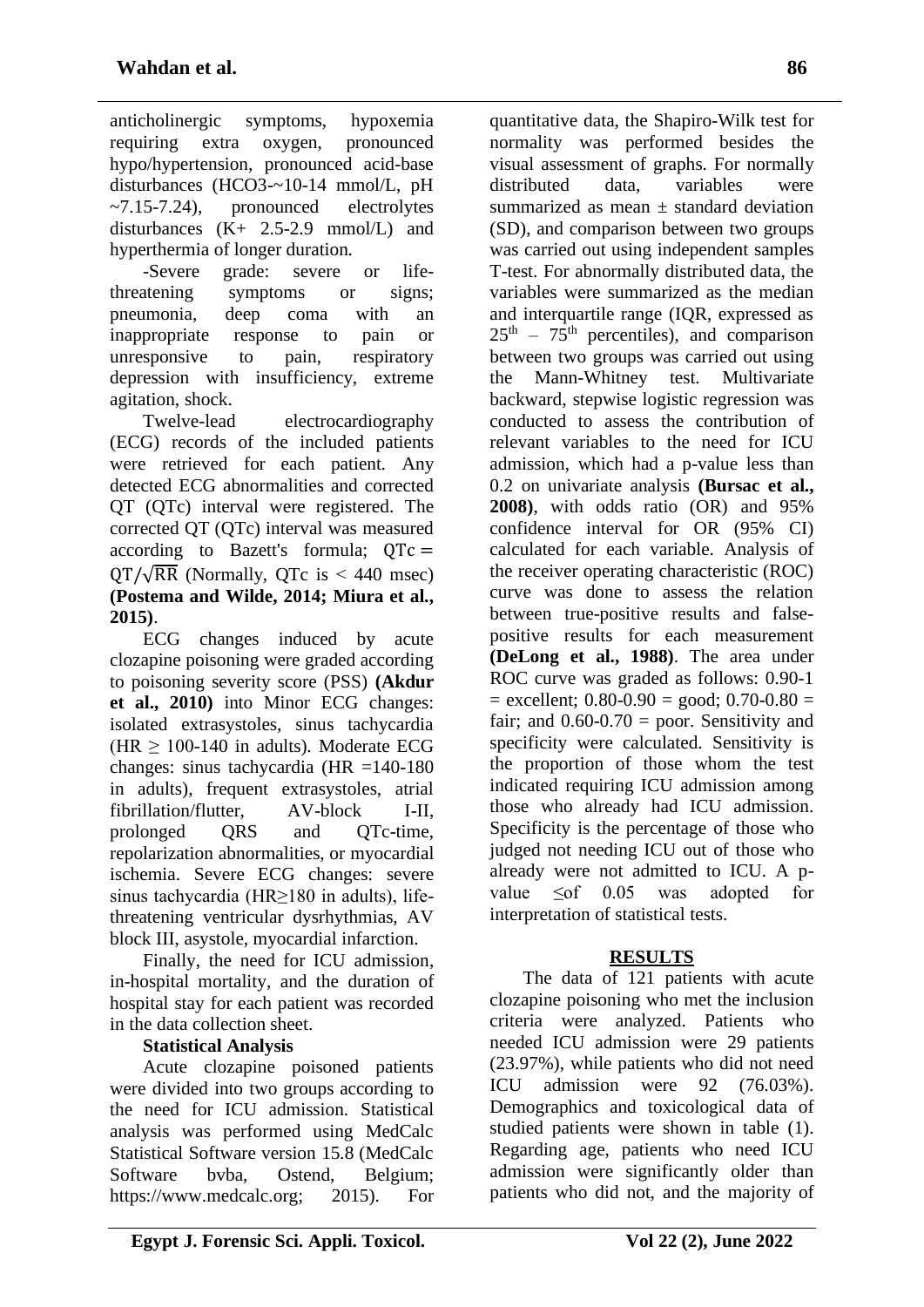anticholinergic symptoms, hypoxemia requiring extra oxygen, pronounced hypo/hypertension, pronounced acid-base disturbances (HCO3-~10-14 mmol/L, pH  $\sim$ 7.15-7.24), pronounced electrolytes disturbances (K+ 2.5-2.9 mmol/L) and hyperthermia of longer duration.

-Severe grade: severe or lifethreatening symptoms or signs; pneumonia, deep coma with an inappropriate response to pain or unresponsive to pain, respiratory depression with insufficiency, extreme agitation, shock.

Twelve-lead electrocardiography (ECG) records of the included patients were retrieved for each patient. Any detected ECG abnormalities and corrected QT (QTc) interval were registered. The corrected QT (QTc) interval was measured according to Bazett's formula;  $QTc =$  $\text{OT}/\sqrt{\text{RR}}$  (Normally, OTc is < 440 msec) **(Postema and Wilde, 2014; Miura et al., 2015)**.

ECG changes induced by acute clozapine poisoning were graded according to poisoning severity score (PSS) **(Akdur et al., 2010)** into Minor ECG changes: isolated extrasystoles, sinus tachycardia (HR  $\geq$  100-140 in adults). Moderate ECG changes: sinus tachycardia (HR =140-180 in adults), frequent extrasystoles, atrial fibrillation/flutter, AV-block I-II, prolonged QRS and QTc-time, repolarization abnormalities, or myocardial ischemia. Severe ECG changes: severe sinus tachycardia (HR≥180 in adults), lifethreatening ventricular dysrhythmias, AV block III, asystole, myocardial infarction.

Finally, the need for ICU admission, in-hospital mortality, and the duration of hospital stay for each patient was recorded in the data collection sheet.

# **Statistical Analysis**

Acute clozapine poisoned patients were divided into two groups according to the need for ICU admission. Statistical analysis was performed using MedCalc Statistical Software version 15.8 (MedCalc Software bvba, Ostend, Belgium; https://www.medcalc.org; 2015). For

**Egypt J. Forensic Sci. Appli. Toxicol.** Vol 22 (2), June 2022

quantitative data, the Shapiro-Wilk test for normality was performed besides the visual assessment of graphs. For normally distributed data, variables were summarized as mean  $\pm$  standard deviation (SD), and comparison between two groups was carried out using independent samples T-test. For abnormally distributed data, the variables were summarized as the median and interquartile range (IQR, expressed as  $25<sup>th</sup> - 75<sup>th</sup>$  percentiles), and comparison between two groups was carried out using the Mann-Whitney test. Multivariate backward, stepwise logistic regression was conducted to assess the contribution of relevant variables to the need for ICU admission, which had a p-value less than 0.2 on univariate analysis **(Bursac et al., 2008)**, with odds ratio (OR) and 95% confidence interval for OR (95% CI) calculated for each variable. Analysis of the receiver operating characteristic (ROC) curve was done to assess the relation between true-positive results and falsepositive results for each measurement **(DeLong et al., 1988)**. The area under ROC curve was graded as follows: 0.90-1  $=$  excellent; 0.80-0.90  $=$  good; 0.70-0.80  $=$ fair; and  $0.60 - 0.70 =$  poor. Sensitivity and specificity were calculated. Sensitivity is the proportion of those whom the test indicated requiring ICU admission among those who already had ICU admission. Specificity is the percentage of those who judged not needing ICU out of those who already were not admitted to ICU. A pvalue  $\leq$  of 0.05 was adopted for interpretation of statistical tests.

# **RESULTS**

The data of 121 patients with acute clozapine poisoning who met the inclusion criteria were analyzed. Patients who needed ICU admission were 29 patients (23.97%), while patients who did not need ICU admission were 92 (76.03%). Demographics and toxicological data of studied patients were shown in table (1). Regarding age, patients who need ICU admission were significantly older than patients who did not, and the majority of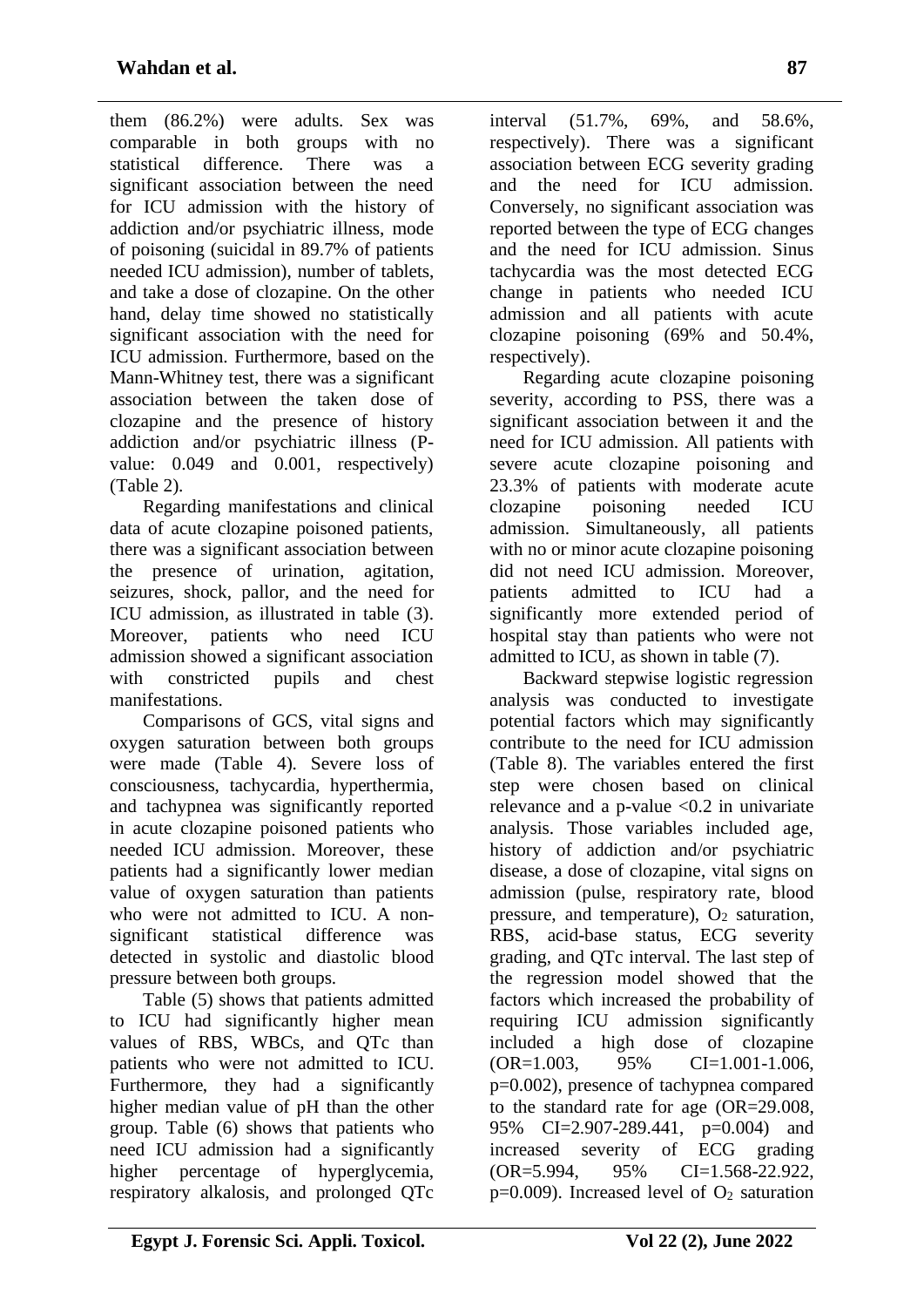them (86.2%) were adults. Sex was comparable in both groups with no statistical difference. There was a significant association between the need for ICU admission with the history of addiction and/or psychiatric illness, mode of poisoning (suicidal in 89.7% of patients needed ICU admission), number of tablets, and take a dose of clozapine. On the other hand, delay time showed no statistically significant association with the need for ICU admission. Furthermore, based on the Mann-Whitney test, there was a significant association between the taken dose of clozapine and the presence of history addiction and/or psychiatric illness (Pvalue: 0.049 and 0.001, respectively) (Table 2).

Regarding manifestations and clinical data of acute clozapine poisoned patients, there was a significant association between the presence of urination, agitation, seizures, shock, pallor, and the need for ICU admission, as illustrated in table (3). Moreover, patients who need ICU admission showed a significant association with constricted pupils and chest manifestations.

Comparisons of GCS, vital signs and oxygen saturation between both groups were made (Table 4). Severe loss of consciousness, tachycardia, hyperthermia, and tachypnea was significantly reported in acute clozapine poisoned patients who needed ICU admission. Moreover, these patients had a significantly lower median value of oxygen saturation than patients who were not admitted to ICU. A nonsignificant statistical difference was detected in systolic and diastolic blood pressure between both groups.

Table (5) shows that patients admitted to ICU had significantly higher mean values of RBS, WBCs, and QTc than patients who were not admitted to ICU. Furthermore, they had a significantly higher median value of pH than the other group. Table (6) shows that patients who need ICU admission had a significantly higher percentage of hyperglycemia, respiratory alkalosis, and prolonged QTc

interval (51.7%, 69%, and 58.6%, respectively). There was a significant association between ECG severity grading and the need for ICU admission. Conversely, no significant association was reported between the type of ECG changes and the need for ICU admission. Sinus tachycardia was the most detected ECG change in patients who needed ICU admission and all patients with acute clozapine poisoning (69% and 50.4%, respectively).

Regarding acute clozapine poisoning severity, according to PSS, there was a significant association between it and the need for ICU admission. All patients with severe acute clozapine poisoning and 23.3% of patients with moderate acute clozapine poisoning needed ICU admission. Simultaneously, all patients with no or minor acute clozapine poisoning did not need ICU admission. Moreover, patients admitted to ICU had a significantly more extended period of hospital stay than patients who were not admitted to ICU, as shown in table (7).

Backward stepwise logistic regression analysis was conducted to investigate potential factors which may significantly contribute to the need for ICU admission (Table 8). The variables entered the first step were chosen based on clinical relevance and a p-value  $\langle 0.2 \rangle$  in univariate analysis. Those variables included age, history of addiction and/or psychiatric disease, a dose of clozapine, vital signs on admission (pulse, respiratory rate, blood pressure, and temperature),  $O_2$  saturation, RBS, acid-base status, ECG severity grading, and QTc interval. The last step of the regression model showed that the factors which increased the probability of requiring ICU admission significantly included a high dose of clozapine  $OR=1.003$ ,  $95\%$   $CI=1.001-1.006$ . p=0.002), presence of tachypnea compared to the standard rate for age (OR=29.008, 95% CI=2.907-289.441, p=0.004) and increased severity of ECG grading (OR=5.994, 95% CI=1.568-22.922,  $p=0.009$ ). Increased level of  $O<sub>2</sub>$  saturation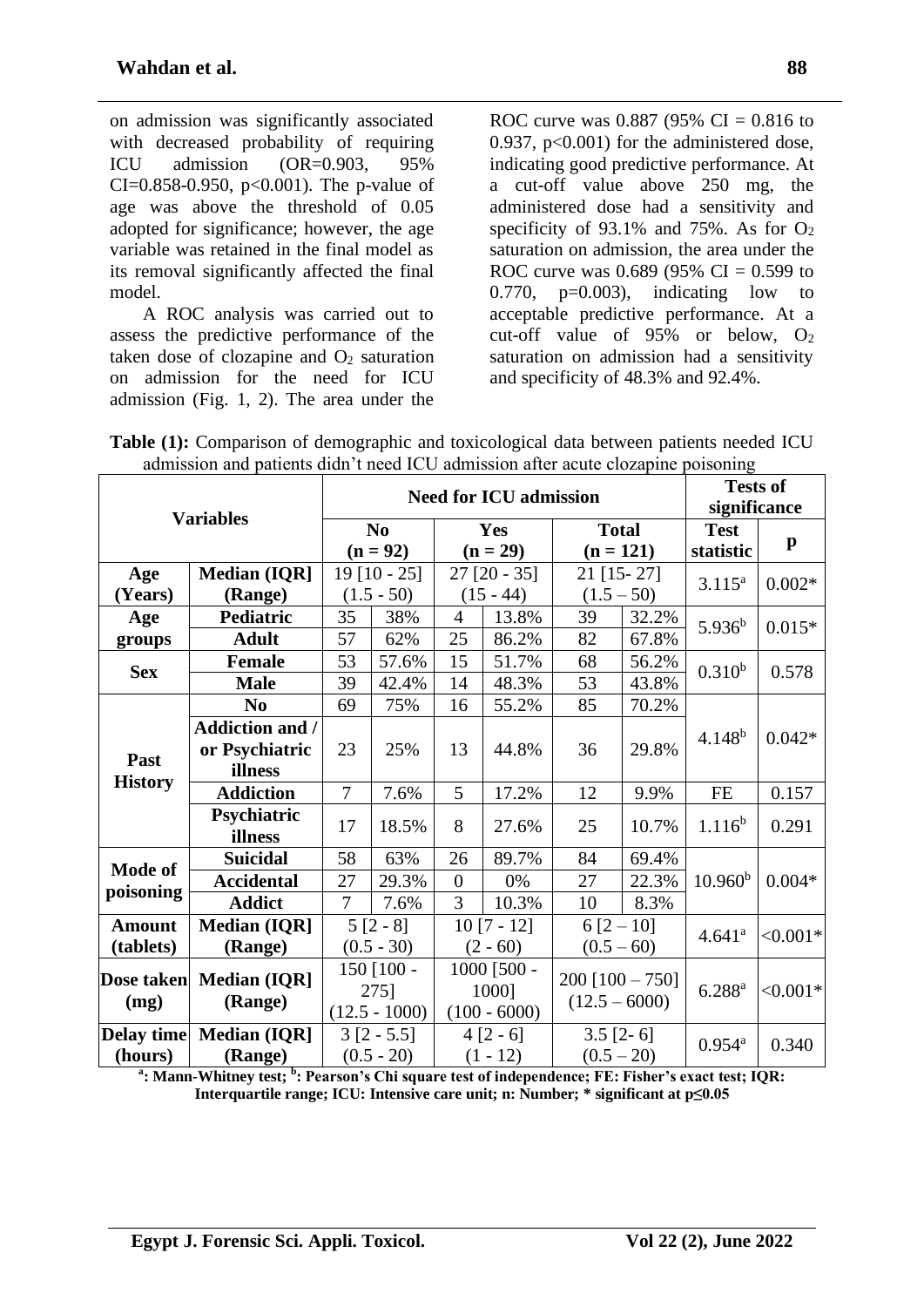on admission was significantly associated with decreased probability of requiring ICU admission (OR=0.903, 95% CI= $0.858-0.950$ , p< $0.001$ ). The p-value of age was above the threshold of 0.05 adopted for significance; however, the age variable was retained in the final model as its removal significantly affected the final model.

A ROC analysis was carried out to assess the predictive performance of the taken dose of clozapine and  $O<sub>2</sub>$  saturation on admission for the need for ICU admission (Fig. 1, 2). The area under the ROC curve was 0.887 (95% CI = 0.816 to 0.937,  $p<0.001$ ) for the administered dose, indicating good predictive performance. At a cut-off value above 250 mg, the administered dose had a sensitivity and specificity of 93.1% and 75%. As for  $O_2$ saturation on admission, the area under the ROC curve was 0.689 (95% CI = 0.599 to  $0.770$ ,  $p=0.003$ ), indicating low to acceptable predictive performance. At a cut-off value of  $95\%$  or below,  $O_2$ saturation on admission had a sensitivity and specificity of 48.3% and 92.4%.

| Table (1): Comparison of demographic and toxicological data between patients needed ICU |  |
|-----------------------------------------------------------------------------------------|--|
| admission and patients didn't need ICU admission after acute clozapine poisoning        |  |

|                |                        |                |                 |                | <b>Need for ICU admission</b> |                 |                   | <b>Tests of</b>             |              |
|----------------|------------------------|----------------|-----------------|----------------|-------------------------------|-----------------|-------------------|-----------------------------|--------------|
|                | <b>Variables</b>       |                |                 |                |                               |                 |                   | significance<br><b>Test</b> |              |
|                |                        |                | N <sub>0</sub>  |                | Yes                           |                 | <b>Total</b>      |                             |              |
|                |                        |                | $(n = 92)$      | $(n = 29)$     |                               | $(n = 121)$     |                   | statistic                   | $\mathbf{p}$ |
| Age            | <b>Median (IQR]</b>    | $19$ [10 - 25] |                 | $27$ [20 - 35] |                               |                 | 21 [15 - 27]      |                             |              |
| (Years)        | (Range)                |                | $(1.5 - 50)$    | $(15 - 44)$    |                               | $(1.5 - 50)$    |                   | $3.115^{a}$                 | $0.002*$     |
| Age            | <b>Pediatric</b>       | 35             | 38%             | $\overline{4}$ | 13.8%                         | 39              | 32.2%             | $5.936^{b}$                 | $0.015*$     |
| groups         | <b>Adult</b>           | 57             | 62%             | 25             | 86.2%                         | 82              | 67.8%             |                             |              |
|                | <b>Female</b>          | 53             | 57.6%           | 15             | 51.7%                         | 68              | 56.2%             | $0.310^{b}$                 |              |
| <b>Sex</b>     | <b>Male</b>            | 39             | 42.4%           | 14             | 48.3%                         | 53              | 43.8%             |                             | 0.578        |
|                | N <sub>0</sub>         | 69             | 75%             | 16             | 55.2%                         | 85              | 70.2%             |                             |              |
|                | <b>Addiction and /</b> |                |                 |                |                               |                 |                   | $4.148^{b}$                 | $0.042*$     |
|                | or Psychiatric         | 23             | 25%             | 13             | 44.8%                         | 36              | 29.8%             |                             |              |
| Past           | illness                |                |                 |                |                               |                 |                   |                             |              |
| <b>History</b> | <b>Addiction</b>       | $\overline{7}$ | 7.6%            | 5              | 17.2%                         | 12              | 9.9%              | <b>FE</b>                   | 0.157        |
|                | Psychiatric            | 17             | 18.5%           | 8              | 27.6%                         | 25              | 10.7%             | $1.116^{b}$                 | 0.291        |
|                | illness                |                |                 |                |                               |                 |                   |                             |              |
| Mode of        | <b>Suicidal</b>        | 58             | 63%             | 26             | 89.7%                         | 84              | 69.4%             |                             |              |
| poisoning      | <b>Accidental</b>      | 27             | 29.3%           | $\overline{0}$ | 0%                            | 27              | 22.3%             | 10.960 <sup>b</sup>         | $0.004*$     |
|                | <b>Addict</b>          | $\overline{7}$ | 7.6%            | $\overline{3}$ | 10.3%                         | 10              | 8.3%              |                             |              |
| <b>Amount</b>  | <b>Median (IQR)</b>    |                | $5 [2 - 8]$     |                | $10 [7 - 12]$                 | $6[2-10]$       |                   | 4.641 <sup>a</sup>          | $< 0.001*$   |
| (tablets)      | (Range)                |                | $(0.5 - 30)$    |                | $(2 - 60)$                    |                 | $(0.5 - 60)$      |                             |              |
| Dose taken     | <b>Median (IQR]</b>    |                | $150$ [100 -    |                | $1000$ [500 -                 |                 | $200$ [100 - 750] |                             |              |
|                | (Range)                |                | 275]            |                | 1000]                         |                 |                   | $6.288^{a}$                 | $< 0.001*$   |
| (mg)           |                        |                | $(12.5 - 1000)$ | $(100 - 6000)$ |                               | $(12.5 - 6000)$ |                   |                             |              |
| Delay time     | <b>Median (IQR)</b>    |                | $3 [2 - 5.5]$   | $4[2-6]$       |                               | $3.5$ [2-6]     |                   | $0.954^{\mathrm{a}}$        | 0.340        |
| (hours)        | (Range)                |                | $(0.5 - 20)$    |                | $(1 - 12)$                    |                 | $(0.5 - 20)$      |                             |              |

<sup>a</sup>: Mann-Whitney test; <sup>b</sup>: Pearson's Chi square test of independence; FE: Fisher's exact test; IQR: **Interquartile range; ICU: Intensive care unit; n: Number; \* significant at p≤0.05**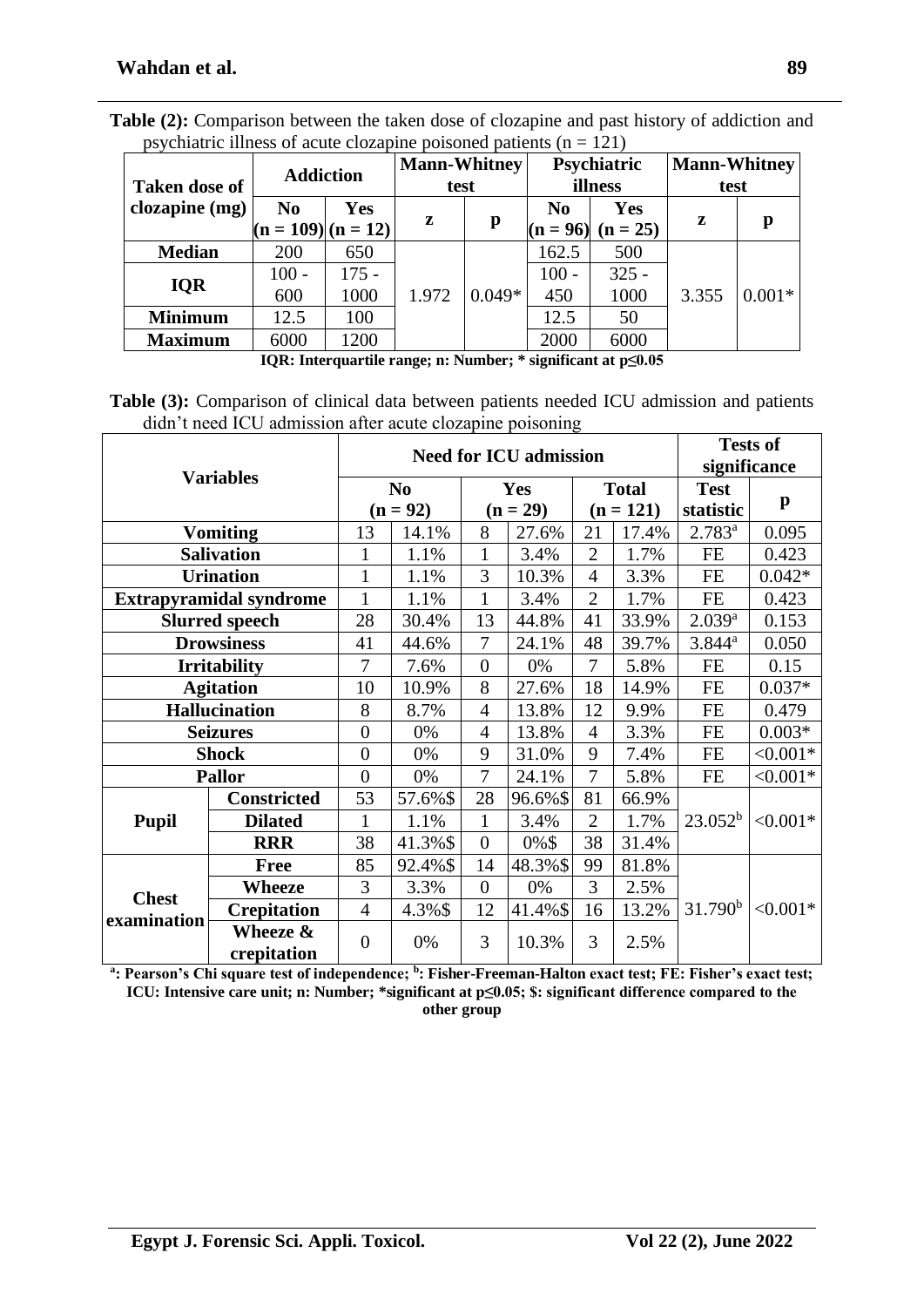| <b>Taken dose of</b> | <b>Addiction</b>              |                          | <b>Mann-Whitney</b><br>test |          |                              | Psychiatric<br>illness   | Mann-Whitney<br>test |          |
|----------------------|-------------------------------|--------------------------|-----------------------------|----------|------------------------------|--------------------------|----------------------|----------|
| clozapine (mg)       | N <sub>0</sub><br>$(n = 109)$ | <b>Yes</b><br>$(n = 12)$ | z                           | p        | N <sub>0</sub><br>$(n = 96)$ | <b>Yes</b><br>$(n = 25)$ | z                    | р        |
| <b>Median</b>        | 200                           | 650                      |                             |          | 162.5                        | 500                      | 3.355                | $0.001*$ |
| <b>IQR</b>           | $100 -$                       | 175 -                    |                             |          | $100 -$                      | $325 -$                  |                      |          |
|                      | 600                           | 1000                     | 1.972                       | $0.049*$ | 450                          | 1000                     |                      |          |
| <b>Minimum</b>       | 12.5                          | 100                      |                             |          | 12.5                         | 50                       |                      |          |
| <b>Maximum</b>       | 6000                          | 1200                     |                             |          | 2000                         | 6000                     |                      |          |

**Table (2):** Comparison between the taken dose of clozapine and past history of addiction and psychiatric illness of acute clozapine poisoned patients ( $n = 121$ )

**IQR: Interquartile range; n: Number; \* significant at p≤0.05**

**Table (3):** Comparison of clinical data between patients needed ICU admission and patients didn't need ICU admission after acute clozapine poisoning

|                             |                                |                |                              |                  | <b>Need for ICU admission</b> |                |                             | <b>Tests of</b><br>significance |              |
|-----------------------------|--------------------------------|----------------|------------------------------|------------------|-------------------------------|----------------|-----------------------------|---------------------------------|--------------|
|                             | <b>Variables</b>               |                | N <sub>0</sub><br>$(n = 92)$ |                  | <b>Yes</b><br>$(n = 29)$      |                | <b>Total</b><br>$(n = 121)$ | <b>Test</b><br>statistic        | $\mathbf{p}$ |
|                             | <b>Vomiting</b>                | 13             | 14.1%                        | 8                | 27.6%                         | 21             | 17.4%                       | $2.783^{a}$                     | 0.095        |
|                             | <b>Salivation</b>              | 1              | 1.1%                         | 1                | 3.4%                          | $\overline{2}$ | 1.7%                        | <b>FE</b>                       | 0.423        |
|                             | <b>Urination</b>               | $\mathbf{1}$   | 1.1%                         | 3                | 10.3%                         | $\overline{4}$ | 3.3%                        | <b>FE</b>                       | $0.042*$     |
|                             | <b>Extrapyramidal syndrome</b> | 1              | 1.1%                         | $\mathbf{1}$     | 3.4%                          | $\overline{2}$ | 1.7%                        | <b>FE</b>                       | 0.423        |
|                             | <b>Slurred speech</b>          | 28             | 30.4%                        | 13               | 44.8%                         | 41             | 33.9%                       | $2.039^{a}$                     | 0.153        |
| <b>Drowsiness</b>           | 41                             | 44.6%          | 7                            | 24.1%            | 48                            | 39.7%          | $3.844^a$                   | 0.050                           |              |
| <b>Irritability</b>         | 7                              | 7.6%           | $\overline{0}$               | 0%               | $\overline{7}$                | 5.8%           | FE                          | 0.15                            |              |
| <b>Agitation</b>            |                                | 10             | 10.9%                        | 8                | 27.6%                         | 18             | 14.9%                       | <b>FE</b>                       | $0.037*$     |
|                             | <b>Hallucination</b>           | 8              | 8.7%                         | $\overline{4}$   | 13.8%                         | 12             | 9.9%                        | <b>FE</b>                       | 0.479        |
|                             | <b>Seizures</b>                | $\overline{0}$ | 0%                           | $\overline{4}$   | 13.8%                         | $\overline{4}$ | 3.3%                        | <b>FE</b>                       | $0.003*$     |
|                             | <b>Shock</b>                   | $\overline{0}$ | 0%                           | 9                | 31.0%                         | 9              | 7.4%                        | <b>FE</b>                       | $< 0.001*$   |
|                             | <b>Pallor</b>                  | $\overline{0}$ | 0%                           | 7                | 24.1%                         | 7              | 5.8%                        | <b>FE</b>                       | $< 0.001*$   |
|                             | <b>Constricted</b>             | 53             | 57.6%\$                      | 28               | 96.6%\$                       | 81             | 66.9%                       |                                 |              |
| <b>Pupil</b>                | <b>Dilated</b>                 | 1              | 1.1%                         | $\mathbf{1}$     | 3.4%                          | $\overline{2}$ | 1.7%                        | $23.052^b$                      | $< 0.001*$   |
|                             | <b>RRR</b>                     | 38             | 41.3%\$                      | $\overline{0}$   | 0%\$                          | 38             | 31.4%                       |                                 |              |
|                             | <b>Free</b>                    | 85             | 92.4%\$                      | 14               | 48.3%\$                       | 99             | 81.8%                       |                                 |              |
|                             | <b>Wheeze</b>                  | 3              | 3.3%                         | $\boldsymbol{0}$ | 0%                            | 3              | 2.5%                        |                                 |              |
| <b>Chest</b><br>examination | <b>Crepitation</b>             | $\overline{4}$ | 4.3%\$                       | 12               | 41.4%\$                       | 16             | 13.2%                       | 31.790 <sup>b</sup>             | $< 0.001*$   |
|                             | Wheeze &<br>crepitation        | $\overline{0}$ | 0%                           | 3                | 10.3%                         | 3              | 2.5%                        |                                 |              |

**a : Pearson's Chi square test of independence; <sup>b</sup> : Fisher-Freeman-Halton exact test; FE: Fisher's exact test; ICU: Intensive care unit; n: Number; \*significant at p≤0.05; \$: significant difference compared to the other group**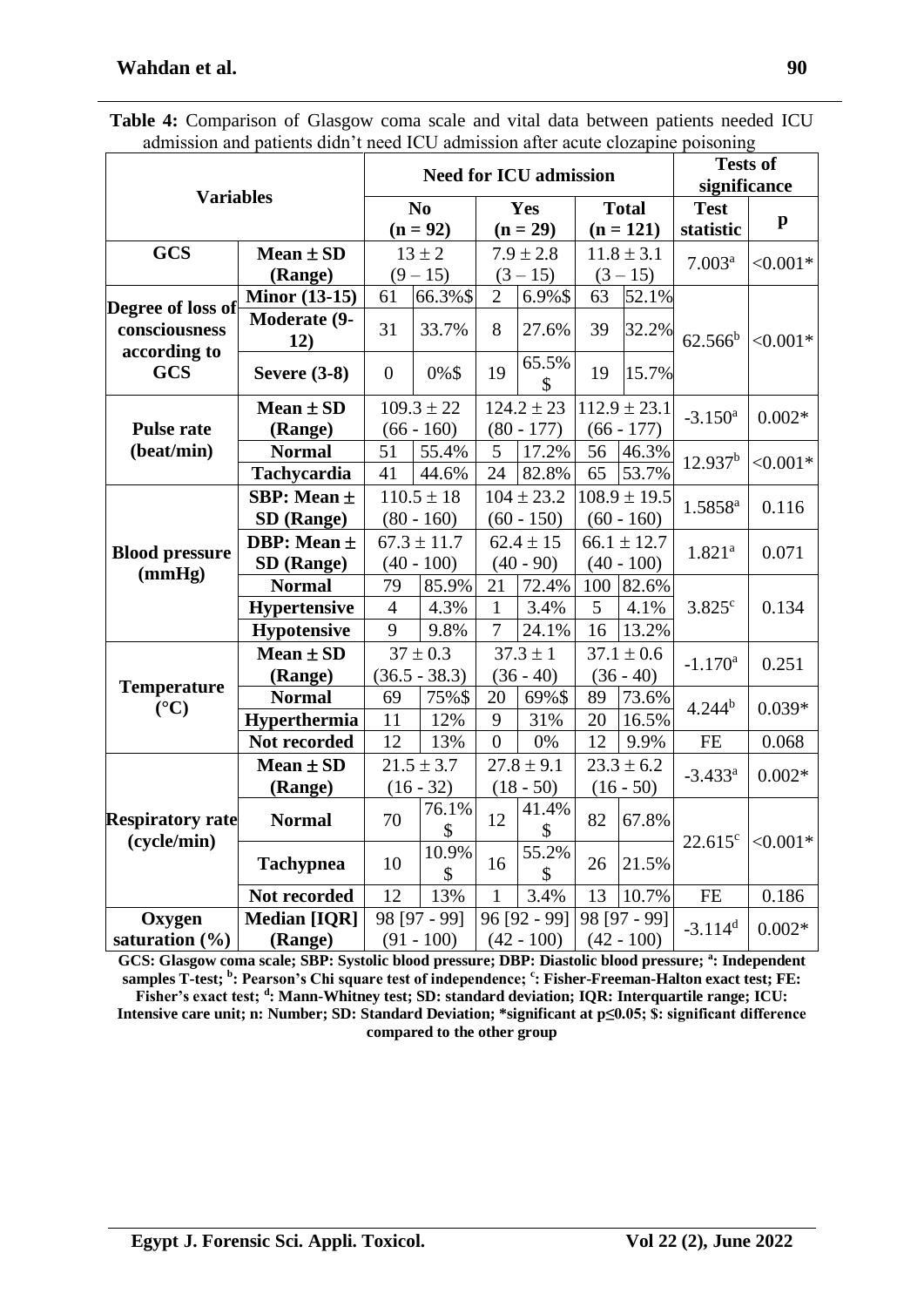|                                        | auniission and patients didn't need iCO auniission anei aeute ciozaphie poisoning |                |                             |                |                               |                |                  |                       |              |
|----------------------------------------|-----------------------------------------------------------------------------------|----------------|-----------------------------|----------------|-------------------------------|----------------|------------------|-----------------------|--------------|
|                                        |                                                                                   |                |                             |                | <b>Need for ICU admission</b> |                |                  | <b>Tests of</b>       |              |
| <b>Variables</b>                       |                                                                                   |                |                             |                |                               |                |                  | significance          |              |
|                                        |                                                                                   |                | $\mathbf{N}\mathbf{o}$      | Yes            |                               | <b>Total</b>   |                  | <b>Test</b>           | $\mathbf{p}$ |
|                                        |                                                                                   |                | $(n = 92)$                  |                | $(n = 29)$                    |                | $(n = 121)$      | statistic             |              |
| <b>GCS</b>                             | Mean $\pm$ SD                                                                     |                | $13 \pm 2$                  |                | $7.9 \pm 2.8$                 |                | $11.8 \pm 3.1$   | 7.003 <sup>a</sup>    | $< 0.001*$   |
|                                        | (Range)                                                                           |                | $(9 - 15)$                  |                | $(3 - 15)$                    |                | $(3 - 15)$       |                       |              |
|                                        | <b>Minor (13-15)</b>                                                              | 61             | 66.3%\$                     | $\overline{2}$ | 6.9%\$                        | 63             | 52.1%            |                       |              |
| Degree of loss of                      | Moderate (9-                                                                      |                |                             |                |                               |                |                  |                       |              |
| consciousness                          | 12)                                                                               | 31             | 33.7%                       | 8              | 27.6%                         | 39             | 32.2%            | $62.566^b$            | $< 0.001*$   |
| according to                           |                                                                                   |                |                             |                | 65.5%                         |                |                  |                       |              |
| <b>GCS</b>                             | <b>Severe (3-8)</b>                                                               | $\overline{0}$ | 0%\$                        | 19             | \$                            | 19             | 15.7%            |                       |              |
|                                        | Mean $\pm$ SD                                                                     |                | $109.3 \pm 22$              |                | $124.2 \pm 23$                |                | $112.9 \pm 23.1$ | $-3.150$ <sup>a</sup> | $0.002*$     |
| <b>Pulse rate</b>                      | (Range)                                                                           |                | $(66 - 160)$                |                | $(80 - 177)$                  |                | $(66 - 177)$     |                       |              |
| (beat/min)                             | <b>Normal</b>                                                                     | 51             | 55.4%                       | 5              | 17.2%                         | 56             | 46.3%            |                       |              |
|                                        | <b>Tachycardia</b>                                                                | 41             | 44.6%                       | 24             | 82.8%                         | 65             | 53.7%            | 12.937 <sup>b</sup>   | $< 0.001*$   |
|                                        | SBP: Mean ±                                                                       |                | $110.5 \pm 18$              |                | $104 \pm 23.2$                |                | $108.9 \pm 19.5$ |                       |              |
|                                        | SD (Range)                                                                        | $(80 - 160)$   |                             |                | $(60 - 150)$                  |                | $(60 - 160)$     | $1.5858^{a}$          | 0.116        |
|                                        | DBP: Mean ±                                                                       |                | $67.3 \pm 11.7$             |                | $62.4 \pm 15$                 |                | $66.1 \pm 12.7$  |                       |              |
| <b>Blood pressure</b><br>(mmHg)        | SD (Range)                                                                        |                | $(40 - 90)$<br>$(40 - 100)$ |                | $(40 - 100)$                  | $1.821^{a}$    | 0.071            |                       |              |
|                                        | <b>Normal</b>                                                                     | 79             | 85.9%                       | 21             | 72.4%                         | 100            | 82.6%            |                       |              |
|                                        | <b>Hypertensive</b>                                                               | $\overline{4}$ | 4.3%                        | 1              | 3.4%                          | 5              | 4.1%             | 3.825c                | 0.134        |
|                                        | <b>Hypotensive</b>                                                                | 9              | 9.8%                        | 7              | 24.1%                         | 16             | 13.2%            |                       |              |
|                                        | $Mean \pm SD$                                                                     |                | $37 \pm 0.3$                | $37.3 \pm 1$   |                               | $37.1 \pm 0.6$ |                  | $-1.170$ <sup>a</sup> | 0.251        |
|                                        | (Range)                                                                           |                | $(36.5 - 38.3)$             |                | $(36 - 40)$                   |                | $(36 - 40)$      |                       |              |
| <b>Temperature</b><br>$({}^{\circ}C)$  | <b>Normal</b>                                                                     | 69             | 75%\$                       | 20             | 69%\$                         | 89             | 73.6%            | $4.244^{b}$           | $0.039*$     |
|                                        | Hyperthermia                                                                      | 11             | 12%                         | 9              | 31%                           | 20             | 16.5%            |                       |              |
|                                        | Not recorded                                                                      | 12             | 13%                         | $\overline{0}$ | 0%                            | 12             | 9.9%             | FE                    | 0.068        |
|                                        | Mean $\pm$ SD                                                                     |                | $21.5 \pm 3.7$              |                | $27.8 \pm 9.1$                |                | $23.3 \pm 6.2$   |                       |              |
|                                        | (Range)                                                                           |                | $(16 - 32)$                 |                | $(18 - 50)$                   |                | $(16 - 50)$      | $-3.433^a$            | $0.002*$     |
|                                        | <b>Normal</b>                                                                     | 70             | 76.1%                       | 12             | 41.4%                         | 82             | 67.8%            |                       |              |
| <b>Respiratory rate</b><br>(cycle/min) |                                                                                   |                | $\mathbb{S}$                |                | \$                            |                |                  | $22.615^c$            | $< 0.001*$   |
|                                        | <b>Tachypnea</b>                                                                  | 10             | 10.9%                       | 16             | 55.2%                         | 26             | 21.5%            |                       |              |
|                                        |                                                                                   |                | \$                          |                | \$                            |                |                  |                       |              |
|                                        | Not recorded                                                                      | 12             | 13%                         | $\mathbf{1}$   | 3.4%                          | 13             | 10.7%            | $\rm FE$              | 0.186        |
| Oxygen                                 | <b>Median [IQR]</b>                                                               |                | 98 [97 - 99]                |                | 96 [92 - 99]                  |                | 98 [97 - 99]     | $-3.114$ <sup>d</sup> | $0.002*$     |
| saturation $(\% )$                     | (Range)                                                                           |                | $(91 - 100)$                |                | $(42 - 100)$                  |                | $(42 - 100)$     |                       |              |

**Table 4:** Comparison of Glasgow coma scale and vital data between patients needed ICU admission and patients didn't need ICU admission after acute clozapine poisoning

**GCS: Glasgow coma scale; SBP: Systolic blood pressure; DBP: Diastolic blood pressure; <sup>a</sup> : Independent samples T-test; <sup>b</sup> : Pearson's Chi square test of independence; <sup>c</sup> : Fisher-Freeman-Halton exact test; FE:**  Fisher's exact test; <sup>d</sup>: Mann-Whitney test; SD: standard deviation; IQR: Interquartile range; ICU: **Intensive care unit; n: Number; SD: Standard Deviation; \*significant at p≤0.05; \$: significant difference compared to the other group**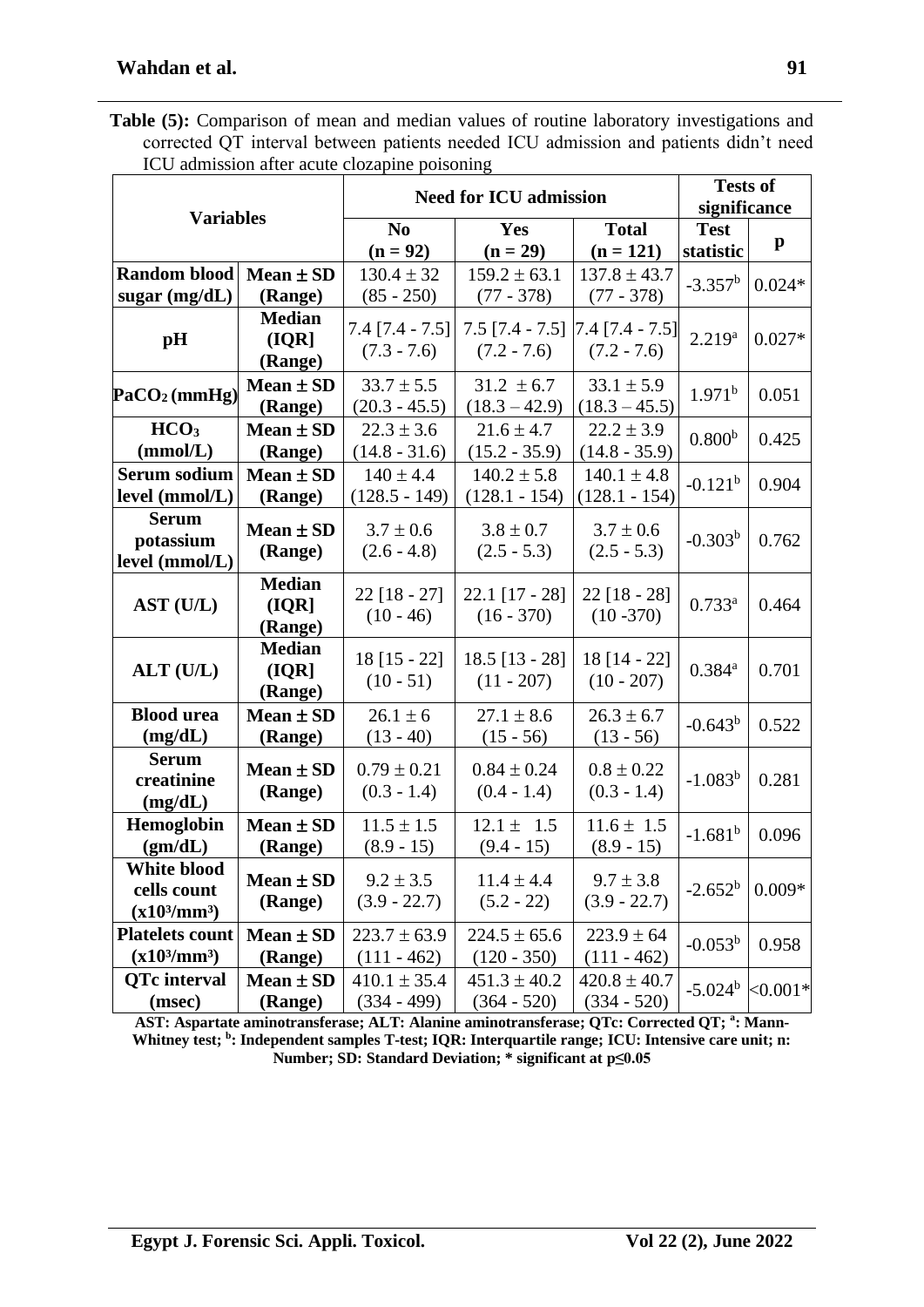| <b>Table (5):</b> Comparison of mean and median values of routine laboratory investigations and |
|-------------------------------------------------------------------------------------------------|
| corrected QT interval between patients needed ICU admission and patients didn't need            |
| ICU admission after acute clozapine poisoning                                                   |

|                                              |                                   |                                    | <b>Need for ICU admission</b>                                                                               |                                     | <b>Tests of</b><br>significance |             |  |
|----------------------------------------------|-----------------------------------|------------------------------------|-------------------------------------------------------------------------------------------------------------|-------------------------------------|---------------------------------|-------------|--|
| <b>Variables</b>                             |                                   |                                    |                                                                                                             |                                     |                                 |             |  |
|                                              |                                   | N <sub>0</sub><br>$(n = 92)$       | Yes<br>$(n = 29)$                                                                                           | <b>Total</b><br>$(n = 121)$         | <b>Test</b><br>statistic        | p           |  |
| <b>Random blood</b>                          | $Mean \pm SD$                     | $130.4 \pm 32$                     | $159.2 \pm 63.1$                                                                                            | $137.8 \pm 43.7$                    |                                 |             |  |
| sugar $(mg/dL)$                              | (Range)                           | $(85 - 250)$                       | $(77 - 378)$                                                                                                | $(77 - 378)$                        | $-3.357^b$                      | $0.024*$    |  |
| $\mathbf{p}$ H                               | <b>Median</b><br>(IQR)<br>(Range) | $7.4$ [7.4 - 7.5]<br>$(7.3 - 7.6)$ | $7.5$ [7.4 - 7.5]<br>$(7.2 - 7.6)$                                                                          | $[7.4 [7.4 - 7.5]$<br>$(7.2 - 7.6)$ | $2.219^{a}$                     | $0.027*$    |  |
| PaCO <sub>2</sub> (mmHg)                     | Mean $\pm$ SD<br>(Range)          |                                    | $33.7 \pm 5.5$<br>$31.2 \pm 6.7$<br>$33.1 \pm 5.9$<br>$(18.3 - 45.5)$<br>$(20.3 - 45.5)$<br>$(18.3 - 42.9)$ |                                     | 1.971 <sup>b</sup>              | 0.051       |  |
| HCO <sub>3</sub><br>(mmol/L)                 | Mean $\pm$ SD<br>(Range)          | $22.3 \pm 3.6$<br>$(14.8 - 31.6)$  | $21.6 \pm 4.7$<br>$(15.2 - 35.9)$                                                                           | $22.2 \pm 3.9$<br>$(14.8 - 35.9)$   | 0.800 <sup>b</sup>              | 0.425       |  |
| <b>Serum sodium</b><br>level (mmol/L)        | Mean $\pm$ SD<br>(Range)          | $140 \pm 4.4$<br>$(128.5 - 149)$   | $140.2 \pm 5.8$<br>$(128.1 - 154)$                                                                          | $140.1 \pm 4.8$<br>$(128.1 - 154)$  | $-0.121^{b}$                    | 0.904       |  |
| <b>Serum</b><br>potassium<br>level (mmol/L)  | Mean $\pm$ SD<br>(Range)          | $3.7 \pm 0.6$<br>$(2.6 - 4.8)$     | $3.8 \pm 0.7$<br>$(2.5 - 5.3)$                                                                              | $3.7 \pm 0.6$<br>$(2.5 - 5.3)$      | $-0.303^{b}$                    | 0.762       |  |
| AST (U/L)                                    | <b>Median</b><br>(IQR)<br>(Range) | $22$ [18 - 27]<br>$(10 - 46)$      | $22.1$ [17 - 28]<br>$(16 - 370)$                                                                            | $22$ [18 - 28]<br>$(10 - 370)$      | $0.733^{a}$                     | 0.464       |  |
| ALT (U/L)                                    | <b>Median</b><br>(IQR)<br>(Range) | $18$ [15 - 22]<br>$(10 - 51)$      | $18.5$ [13 - 28]<br>$(11 - 207)$                                                                            | 18 [14 - 22]<br>$(10 - 207)$        | $0.384^{a}$                     | 0.701       |  |
| <b>Blood urea</b><br>(mg/dL)                 | Mean $\pm$ SD<br>(Range)          | $26.1 \pm 6$<br>$(13 - 40)$        | $27.1 \pm 8.6$<br>$(15 - 56)$                                                                               | $26.3 \pm 6.7$<br>$(13 - 56)$       | $-0.643^b$                      | 0.522       |  |
| <b>Serum</b><br>creatinine<br>(mg/dL)        | Mean $\pm$ SD<br>(Range)          | $0.79 \pm 0.21$<br>$(0.3 - 1.4)$   | $0.84 \pm 0.24$<br>$(0.4 - 1.4)$                                                                            | $0.8 \pm 0.22$<br>$(0.3 - 1.4)$     | $-1.083^{b}$                    | 0.281       |  |
| Hemoglobin<br>(gm/dL)                        | Mean $\pm$ SD<br>(Range)          | $11.5 \pm 1.5$<br>$(8.9 - 15)$     | $12.1 \pm 1.5$<br>$(9.4 - 15)$                                                                              | $11.6 \pm 1.5$<br>$(8.9 - 15)$      | $-1.681^{b}$                    | 0.096       |  |
| White blood<br>cells count<br>$(x10^3/mm^3)$ | Mean $\pm$ SD<br>(Range)          | $9.2 \pm 3.5$<br>$(3.9 - 22.7)$    | $11.4 \pm 4.4$<br>$(5.2 - 22)$                                                                              | $9.7 \pm 3.8$<br>$(3.9 - 22.7)$     | $-2.652^b$                      | $0.009*$    |  |
| <b>Platelets count</b><br>$(x10^3/mm^3)$     | Mean $\pm$ SD<br>(Range)          | $223.7 \pm 63.9$<br>$(111 - 462)$  | $224.5 \pm 65.6$<br>$(120 - 350)$                                                                           | $223.9 \pm 64$<br>$(111 - 462)$     | $-0.053^b$                      | 0.958       |  |
| <b>QTc</b> interval<br>(msec)                | Mean $\pm$ SD<br>(Range)          | $410.1 \pm 35.4$<br>$(334 - 499)$  | $451.3 \pm 40.2$<br>$(364 - 520)$                                                                           | $420.8 \pm 40.7$<br>$(334 - 520)$   | $-5.024b$                       | ${<}0.001*$ |  |

**AST: Aspartate aminotransferase; ALT: Alanine aminotransferase; QTc: Corrected QT; <sup>a</sup> : Mann-**Whitney test; <sup>b</sup>: Independent samples T-test; IQR: Interquartile range; ICU: Intensive care unit; n: **Number; SD: Standard Deviation; \* significant at p≤0.05**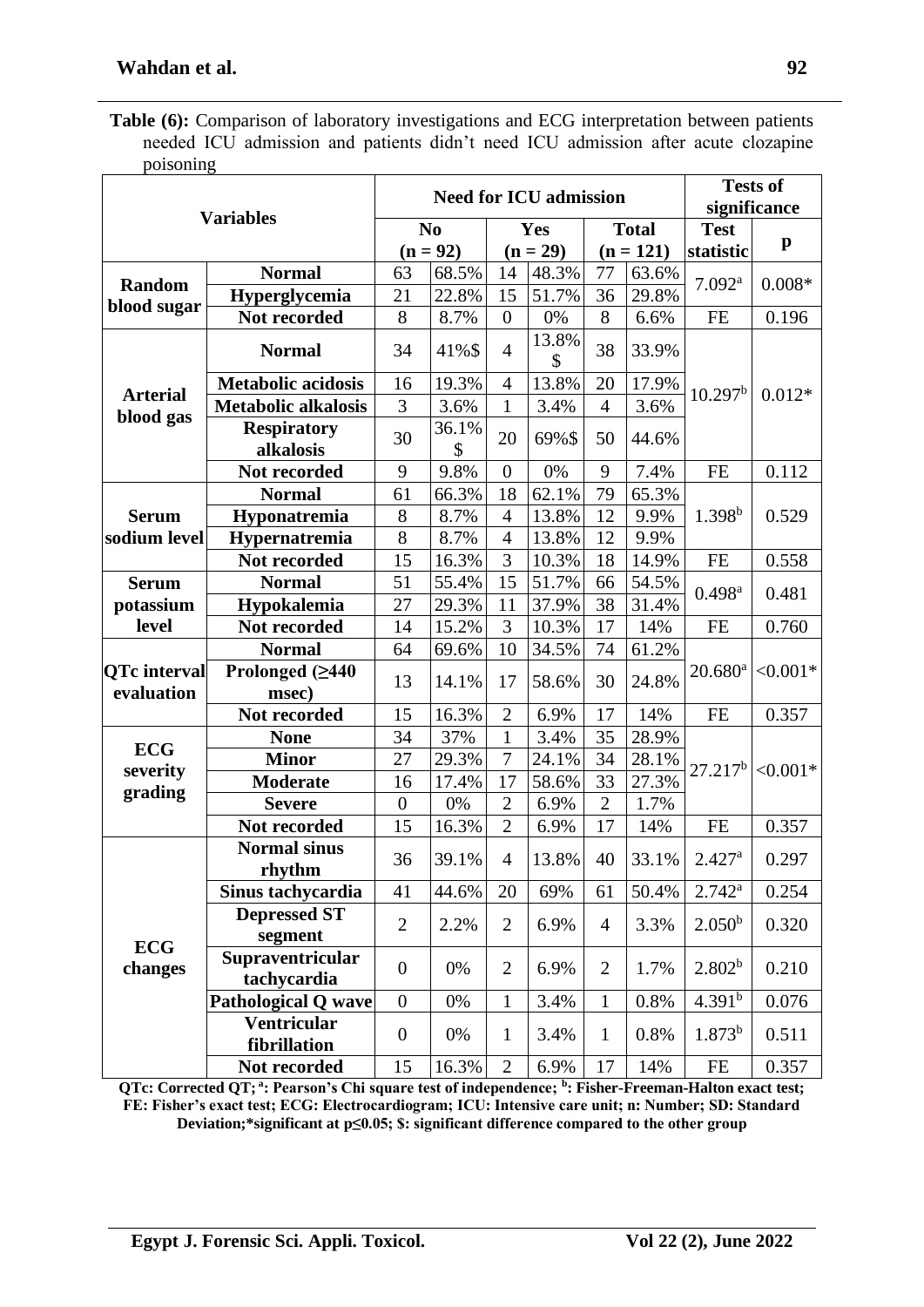Table (6): Comparison of laboratory investigations and ECG interpretation between patients needed ICU admission and patients didn't need ICU admission after acute clozapine poisoning

|                                   |                                    |                  |                |                  | <b>Need for ICU admission</b> |                |              | <b>Tests of</b><br>significance |              |
|-----------------------------------|------------------------------------|------------------|----------------|------------------|-------------------------------|----------------|--------------|---------------------------------|--------------|
|                                   | <b>Variables</b>                   |                  | N <sub>0</sub> |                  | Yes                           |                | <b>Total</b> | <b>Test</b>                     |              |
|                                   |                                    |                  | $(n = 92)$     | $(n = 29)$       |                               |                | $(n = 121)$  | statistic                       | $\mathbf{p}$ |
|                                   | <b>Normal</b>                      | 63               | 68.5%          | 14               | 48.3%                         | 77             | 63.6%        |                                 |              |
| <b>Random</b>                     | Hyperglycemia                      | 21               | 22.8%          | 15               | 51.7%                         | 36             | 29.8%        | 7.092 <sup>a</sup>              | $0.008*$     |
| blood sugar                       | Not recorded                       | 8                | 8.7%           | $\overline{0}$   | 0%                            | 8              | 6.6%         | <b>FE</b>                       | 0.196        |
|                                   | <b>Normal</b>                      | 34               | 41%\$          | $\overline{4}$   | 13.8%<br>\$                   | 38             | 33.9%        |                                 |              |
|                                   | <b>Metabolic acidosis</b>          | 16               | 19.3%          | $\overline{4}$   | 13.8%                         | 20             | 17.9%        | 10.297 <sup>b</sup>             | $0.012*$     |
| <b>Arterial</b>                   | <b>Metabolic alkalosis</b>         | 3                | 3.6%           | $\mathbf{1}$     | 3.4%                          | $\overline{4}$ | 3.6%         |                                 |              |
| blood gas                         | <b>Respiratory</b><br>alkalosis    | 30               | 36.1%<br>\$    | 20               | 69%\$                         | 50             | 44.6%        |                                 |              |
|                                   | Not recorded                       | 9                | 9.8%           | $\overline{0}$   | 0%                            | 9              | 7.4%         | <b>FE</b>                       | 0.112        |
|                                   | <b>Normal</b>                      | 61               | 66.3%          | 18               | 62.1%                         | 79             | 65.3%        |                                 |              |
| <b>Serum</b>                      | Hyponatremia                       | 8                | 8.7%           | $\overline{4}$   | 13.8%                         | 12             | 9.9%         | $1.398^{b}$                     | 0.529        |
| sodium level                      | Hypernatremia                      | 8                | 8.7%           | $\overline{4}$   | 13.8%                         | 12             | 9.9%         |                                 |              |
|                                   | Not recorded                       | 15               | 16.3%          | $\overline{3}$   | 10.3%                         | 18             | 14.9%        | <b>FE</b>                       | 0.558        |
| <b>Serum</b>                      | <b>Normal</b>                      | 51               | 55.4%          | 15               | 51.7%                         | 66             | 54.5%        | $0.498^{a}$                     | 0.481        |
| potassium                         | Hypokalemia                        | 27               | 29.3%          | 11               | 37.9%                         | 38             | 31.4%        |                                 |              |
| level                             | Not recorded                       | 14               | 15.2%          | 3                | 10.3%                         | 17             | 14%          | <b>FE</b>                       | 0.760        |
|                                   | <b>Normal</b>                      | 64               | 69.6%          | 10               | 34.5%                         | 74             | 61.2%        |                                 | $< 0.001*$   |
| <b>QTc</b> interval<br>evaluation | Prolonged (≥440<br>msec)           | 13               | 14.1%          | 17               | 58.6%                         | 30             | 24.8%        | $20.680^a$                      |              |
|                                   | Not recorded                       | 15               | 16.3%          | $\overline{2}$   | 6.9%                          | 17             | 14%          | <b>FE</b>                       | 0.357        |
|                                   | <b>None</b>                        | 34               | 37%            | $\mathbf{1}$     | 3.4%                          | 35             | 28.9%        |                                 |              |
| <b>ECG</b>                        | <b>Minor</b>                       | 27               | 29.3%          | $\boldsymbol{7}$ | 24.1%                         | 34             | 28.1%        |                                 |              |
| severity                          | <b>Moderate</b>                    | 16               | 17.4%          | 17               | 58.6%                         | 33             | 27.3%        | $27.217^b$                      | $<0.001*$    |
| grading                           | <b>Severe</b>                      | $\overline{0}$   | 0%             | $\overline{2}$   | 6.9%                          | $\overline{2}$ | 1.7%         |                                 |              |
|                                   | Not recorded                       | 15               | 16.3%          | $\overline{2}$   | 6.9%                          | 17             | 14%          | <b>FE</b>                       | 0.357        |
|                                   | <b>Normal sinus</b><br>rhythm      | 36               | 39.1%          | $\overline{4}$   | 13.8%                         | 40             | 33.1%        | $2.427$ <sup>a</sup>            | 0.297        |
|                                   | Sinus tachycardia                  | 41               | 44.6%          | 20               | 69%                           | 61             | 50.4%        | $2.742^{\rm a}$                 | 0.254        |
|                                   | <b>Depressed ST</b><br>segment     | $\overline{2}$   | 2.2%           | $\overline{2}$   | 6.9%                          | $\overline{4}$ | 3.3%         | 2.050 <sup>b</sup>              | 0.320        |
| <b>ECG</b><br>changes             | Supraventricular<br>tachycardia    | $\boldsymbol{0}$ | 0%             | $\overline{2}$   | 6.9%                          | $\overline{2}$ | 1.7%         | 2.802 <sup>b</sup>              | 0.210        |
|                                   | <b>Pathological Q wave</b>         | $\boldsymbol{0}$ | 0%             | 1                | 3.4%                          | $\mathbf{1}$   | 0.8%         | 4.391 <sup>b</sup>              | 0.076        |
|                                   | <b>Ventricular</b><br>fibrillation | $\boldsymbol{0}$ | 0%             | $\mathbf{1}$     | 3.4%                          | $\mathbf{1}$   | 0.8%         | 1.873 <sup>b</sup>              | 0.511        |
|                                   | Not recorded                       | 15               | 16.3%          | $\overline{2}$   | 6.9%                          | 17             | 14%          | FE                              | 0.357        |

**QTc: Corrected QT; <sup>a</sup> : Pearson's Chi square test of independence; <sup>b</sup> : Fisher-Freeman-Halton exact test; FE: Fisher's exact test; ECG: Electrocardiogram; ICU: Intensive care unit; n: Number; SD: Standard Deviation;\*significant at p≤0.05; \$: significant difference compared to the other group**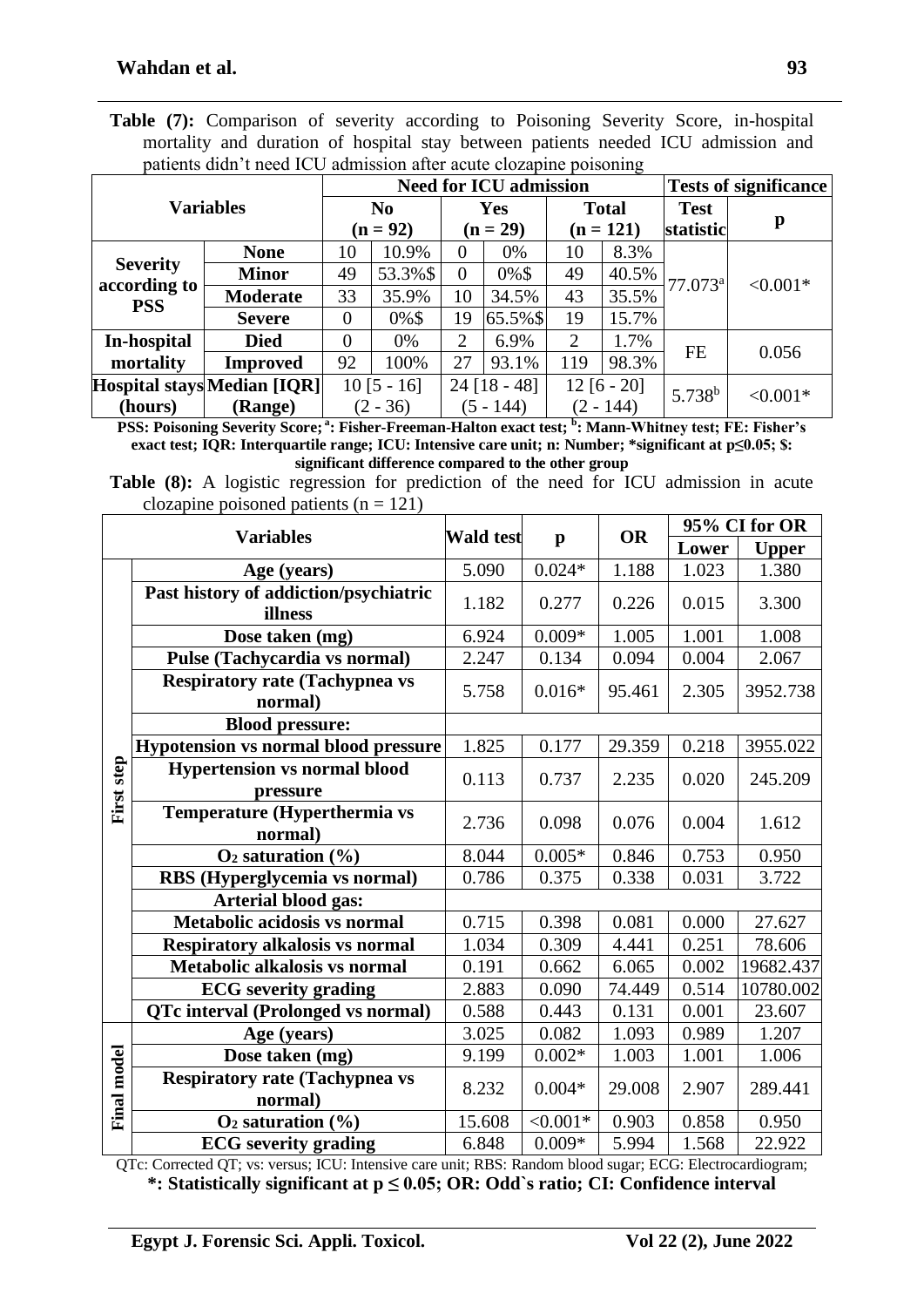|  |  |  |  |  |                                                                    | <b>Table (7):</b> Comparison of severity according to Poisoning Severity Score, in-hospital |  |  |
|--|--|--|--|--|--------------------------------------------------------------------|---------------------------------------------------------------------------------------------|--|--|
|  |  |  |  |  |                                                                    | mortality and duration of hospital stay between patients needed ICU admission and           |  |  |
|  |  |  |  |  | patients didn't need ICU admission after acute clozapine poisoning |                                                                                             |  |  |

|                            | patients didn't need TCO admission after acate crozaphic poisoning |                |                          |                | <b>Need for ICU admission</b> |                |                          | <b>Tests of significance</b> |            |
|----------------------------|--------------------------------------------------------------------|----------------|--------------------------|----------------|-------------------------------|----------------|--------------------------|------------------------------|------------|
| <b>Variables</b>           | N <sub>0</sub><br>$(n = 92)$                                       |                | <b>Yes</b><br>$(n = 29)$ |                | <b>Total</b><br>$(n = 121)$   |                | <b>Test</b><br>statistic | p                            |            |
|                            | <b>None</b>                                                        | 10             | 10.9%                    | $\theta$       | 0%                            | 10             | 8.3%                     |                              |            |
| <b>Severity</b>            | <b>Minor</b>                                                       | 49             | 53.3%\$                  | $\theta$       | 0%\$                          | 49             | 40.5%                    | $77.073$ <sup>a</sup>        | $< 0.001*$ |
| according to<br><b>PSS</b> | <b>Moderate</b>                                                    | 33             | 35.9%                    | 10             | 34.5%                         | 43             | 35.5%                    |                              |            |
|                            | <b>Severe</b>                                                      | $\overline{0}$ | $0\%$ \$                 | 19             | $65.5\%$ \$                   | 19             | 15.7%                    |                              |            |
| In-hospital                | <b>Died</b>                                                        | $\theta$       | 0%                       | $\overline{2}$ | 6.9%                          | $\overline{2}$ | 1.7%                     | <b>FE</b>                    | 0.056      |
| mortality                  | <b>Improved</b>                                                    | 92             | 100%                     | 27             | 93.1%                         | 119            | 98.3%                    |                              |            |
|                            | Hospital stays Median [IQR]                                        |                | $10[5 - 16]$             |                | $24$ [18 - 48]                | $12 [6 - 20]$  |                          | $5.738^{b}$                  | $< 0.001*$ |
| (hours)                    | <b>(Range)</b>                                                     |                | $(2 - 36)$               |                | $(5 - 144)$                   | $(2 - 144)$    |                          |                              |            |

**PSS: Poisoning Severity Score; <sup>a</sup> : Fisher-Freeman-Halton exact test; <sup>b</sup> : Mann-Whitney test; FE: Fisher's exact test; IQR: Interquartile range; ICU: Intensive care unit; n: Number; \*significant at p≤0.05; \$: significant difference compared to the other group**

**Table (8):** A logistic regression for prediction of the need for ICU admission in acute clozapine poisoned patients  $(n = 121)$ 

|                    | <b>Variables</b>                                 | <b>Wald test</b> |              | <b>OR</b> | 95% CI for OR |              |  |
|--------------------|--------------------------------------------------|------------------|--------------|-----------|---------------|--------------|--|
|                    |                                                  |                  | $\mathbf{p}$ |           | Lower         | <b>Upper</b> |  |
|                    | Age (years)                                      | 5.090            | $0.024*$     | 1.188     | 1.023         | 1.380        |  |
|                    | Past history of addiction/psychiatric<br>illness | 1.182            | 0.277        | 0.226     | 0.015         | 3.300        |  |
|                    | Dose taken (mg)                                  | 6.924            | $0.009*$     | 1.005     | 1.001         | 1.008        |  |
|                    | Pulse (Tachycardia vs normal)                    | 2.247            | 0.134        | 0.094     | 0.004         | 2.067        |  |
|                    | <b>Respiratory rate (Tachypnea vs</b><br>normal) | 5.758            | $0.016*$     | 95.461    | 2.305         | 3952.738     |  |
|                    | <b>Blood pressure:</b>                           |                  |              |           |               |              |  |
|                    | <b>Hypotension vs normal blood pressure</b>      | 1.825            | 0.177        | 29.359    | 0.218         | 3955.022     |  |
| First step         | <b>Hypertension vs normal blood</b><br>pressure  | 0.113            | 0.737        | 2.235     | 0.020         | 245.209      |  |
|                    | Temperature (Hyperthermia vs<br>normal)          | 2.736            | 0.098        | 0.076     | 0.004         | 1.612        |  |
|                    | $O_2$ saturation $(\% )$                         | 8.044            | $0.005*$     | 0.846     | 0.753         | 0.950        |  |
|                    | RBS (Hyperglycemia vs normal)                    | 0.786            | 0.375        | 0.338     | 0.031         | 3.722        |  |
|                    | <b>Arterial blood gas:</b>                       |                  |              |           |               |              |  |
|                    | Metabolic acidosis vs normal                     | 0.715            | 0.398        | 0.081     | 0.000         | 27.627       |  |
|                    | <b>Respiratory alkalosis vs normal</b>           | 1.034            | 0.309        | 4.441     | 0.251         | 78.606       |  |
|                    | Metabolic alkalosis vs normal                    | 0.191            | 0.662        | 6.065     | 0.002         | 19682.437    |  |
|                    | <b>ECG</b> severity grading                      | 2.883            | 0.090        | 74.449    | 0.514         | 10780.002    |  |
|                    | <b>QTc interval (Prolonged vs normal)</b>        | 0.588            | 0.443        | 0.131     | 0.001         | 23.607       |  |
|                    | Age (years)                                      | 3.025            | 0.082        | 1.093     | 0.989         | 1.207        |  |
|                    | Dose taken (mg)                                  | 9.199            | $0.002*$     | 1.003     | 1.001         | 1.006        |  |
| <b>Final model</b> | <b>Respiratory rate (Tachypnea vs</b><br>normal) | 8.232            | $0.004*$     | 29.008    | 2.907         | 289.441      |  |
|                    | $O2$ saturation $(\% )$                          | 15.608           | $< 0.001*$   | 0.903     | 0.858         | 0.950        |  |
|                    | <b>ECG</b> severity grading                      | 6.848            | $0.009*$     | 5.994     | 1.568         | 22.922       |  |

QTc: Corrected QT; vs: versus; ICU: Intensive care unit; RBS: Random blood sugar; ECG: Electrocardiogram; **\*: Statistically significant at p ≤ 0.05; OR: Odd`s ratio; CI: Confidence interval**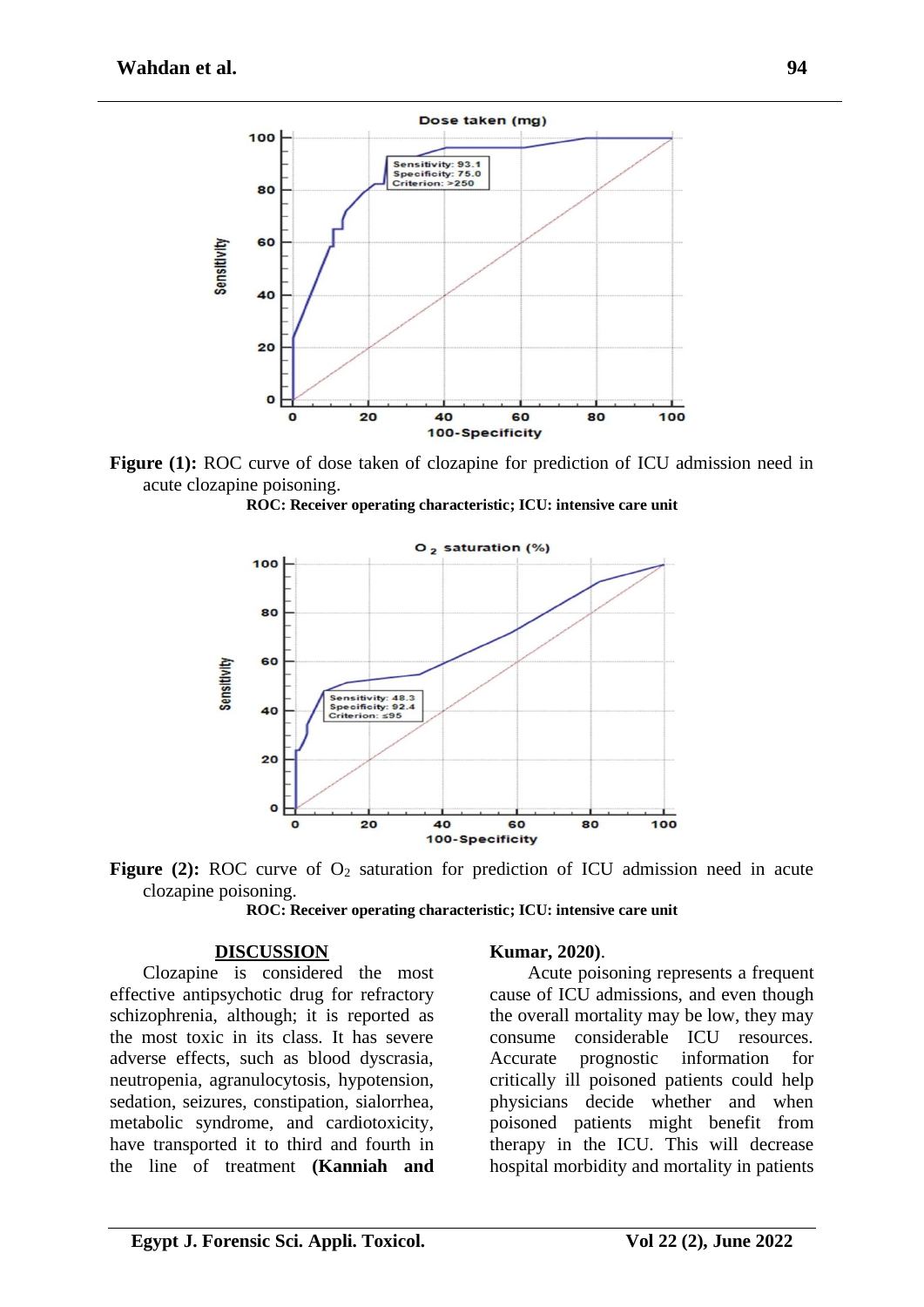

Figure (1): ROC curve of dose taken of clozapine for prediction of ICU admission need in acute clozapine poisoning.

**ROC: Receiver operating characteristic; ICU: intensive care unit**



**Figure (2):** ROC curve of O<sub>2</sub> saturation for prediction of ICU admission need in acute clozapine poisoning.

**ROC: Receiver operating characteristic; ICU: intensive care unit**

#### **DISCUSSION**

Clozapine is considered the most effective antipsychotic drug for refractory schizophrenia, although; it is reported as the most toxic in its class. It has severe adverse effects, such as blood dyscrasia, neutropenia, agranulocytosis, hypotension, sedation, seizures, constipation, sialorrhea, metabolic syndrome, and cardiotoxicity, have transported it to third and fourth in the line of treatment **(Kanniah and** 

#### **Kumar, 2020)**.

Acute poisoning represents a frequent cause of ICU admissions, and even though the overall mortality may be low, they may consume considerable ICU resources. Accurate prognostic information for critically ill poisoned patients could help physicians decide whether and when poisoned patients might benefit from therapy in the ICU. This will decrease hospital morbidity and mortality in patients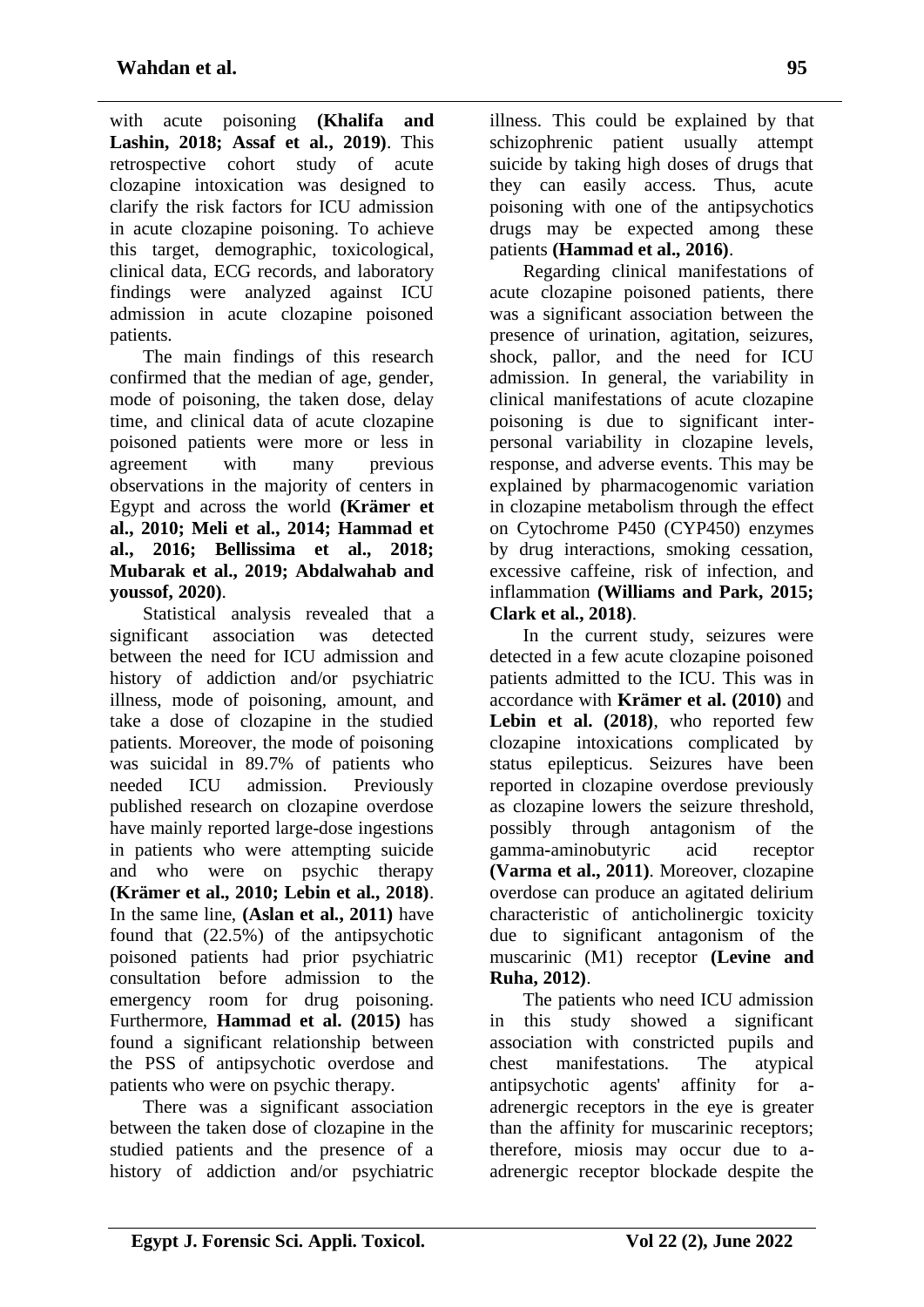with acute poisoning **(Khalifa and Lashin, 2018; Assaf et al., 2019)**. This retrospective cohort study of acute clozapine intoxication was designed to clarify the risk factors for ICU admission in acute clozapine poisoning. To achieve this target, demographic, toxicological, clinical data, ECG records, and laboratory findings were analyzed against ICU admission in acute clozapine poisoned patients.

The main findings of this research confirmed that the median of age, gender, mode of poisoning, the taken dose, delay time, and clinical data of acute clozapine poisoned patients were more or less in agreement with many previous observations in the majority of centers in Egypt and across the world **(Krämer et al., 2010; Meli et al., 2014; Hammad et al., 2016; Bellissima et al., 2018; Mubarak et al., 2019; Abdalwahab and youssof, 2020)**.

Statistical analysis revealed that a significant association was detected between the need for ICU admission and history of addiction and/or psychiatric illness, mode of poisoning, amount, and take a dose of clozapine in the studied patients. Moreover, the mode of poisoning was suicidal in 89.7% of patients who needed ICU admission. Previously published research on clozapine overdose have mainly reported large-dose ingestions in patients who were attempting suicide and who were on psychic therapy **(Krämer et al., 2010; Lebin et al., 2018)**. In the same line, **(Aslan et al., 2011)** have found that (22.5%) of the antipsychotic poisoned patients had prior psychiatric consultation before admission to the emergency room for drug poisoning. Furthermore, **Hammad et al. (2015)** has found a significant relationship between the PSS of antipsychotic overdose and patients who were on psychic therapy.

There was a significant association between the taken dose of clozapine in the studied patients and the presence of a history of addiction and/or psychiatric

illness. This could be explained by that schizophrenic patient usually attempt suicide by taking high doses of drugs that they can easily access. Thus, acute poisoning with one of the antipsychotics drugs may be expected among these patients **(Hammad et al., 2016)**.

Regarding clinical manifestations of acute clozapine poisoned patients, there was a significant association between the presence of urination, agitation, seizures, shock, pallor, and the need for ICU admission. In general, the variability in clinical manifestations of acute clozapine poisoning is due to significant interpersonal variability in clozapine levels, response, and adverse events. This may be explained by pharmacogenomic variation in clozapine metabolism through the effect on Cytochrome P450 (CYP450) enzymes by drug interactions, smoking cessation, excessive caffeine, risk of infection, and inflammation **(Williams and Park, 2015; Clark et al., 2018)**.

In the current study, seizures were detected in a few acute clozapine poisoned patients admitted to the ICU. This was in accordance with **Krämer et al. (2010)** and **Lebin et al. (2018)**, who reported few clozapine intoxications complicated by status epilepticus. Seizures have been reported in clozapine overdose previously as clozapine lowers the seizure threshold, possibly through antagonism of the gamma**-**aminobutyric acid receptor **(Varma et al., 2011)**. Moreover, clozapine overdose can produce an agitated delirium characteristic of anticholinergic toxicity due to significant antagonism of the muscarinic (M1) receptor **(Levine and Ruha, 2012)**.

The patients who need ICU admission in this study showed a significant association with constricted pupils and chest manifestations. The atypical antipsychotic agents' affinity for aadrenergic receptors in the eye is greater than the affinity for muscarinic receptors; therefore, miosis may occur due to aadrenergic receptor blockade despite the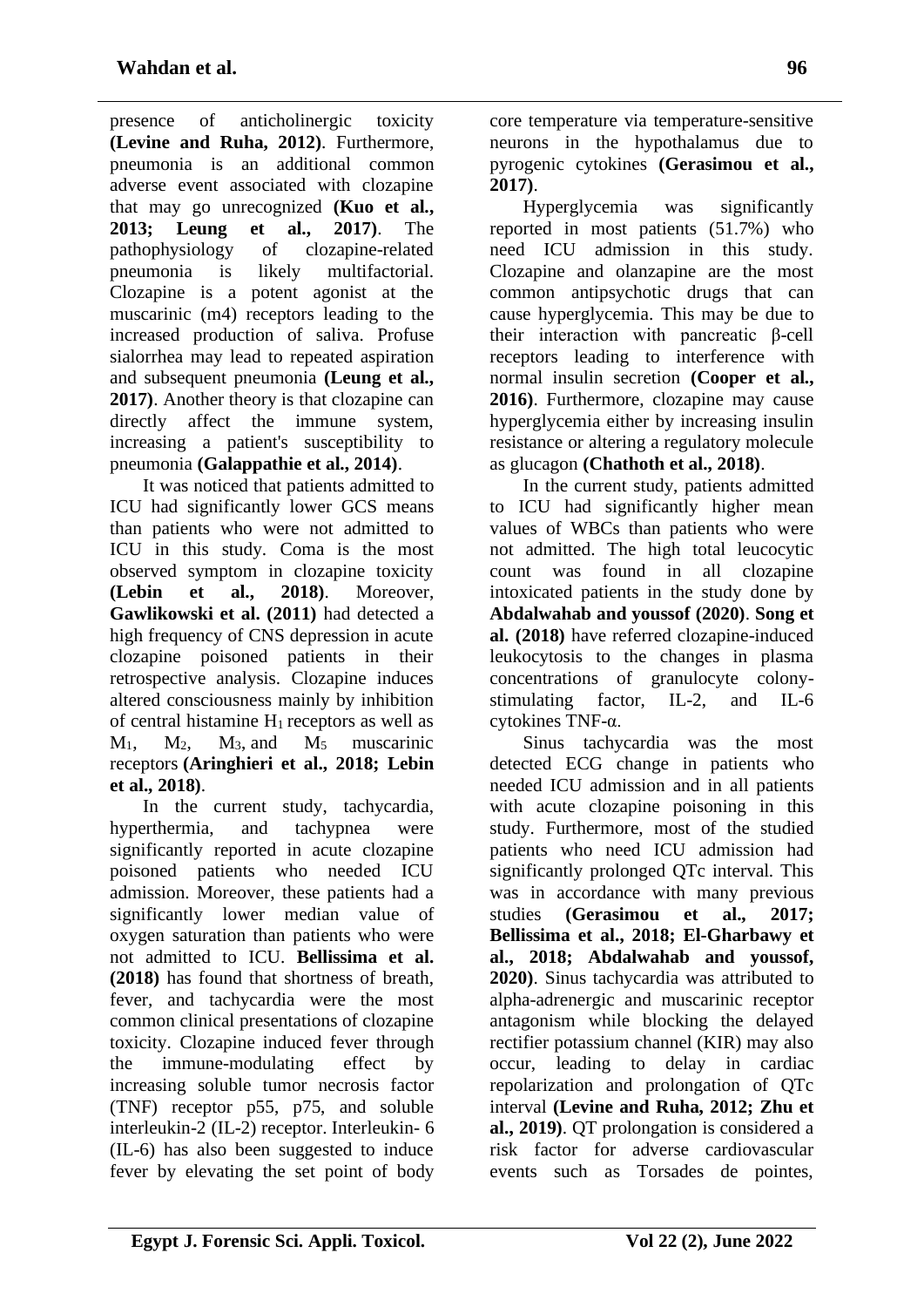presence of anticholinergic toxicity **(Levine and Ruha, 2012)**. Furthermore, pneumonia is an additional common adverse event associated with clozapine that may go unrecognized **(Kuo et al., 2013; Leung et al., 2017)**. The pathophysiology of clozapine-related pneumonia is likely multifactorial. Clozapine is a potent agonist at the muscarinic (m4) receptors leading to the increased production of saliva. Profuse sialorrhea may lead to repeated aspiration and subsequent pneumonia **(Leung et al., 2017)**. Another theory is that clozapine can directly affect the immune system, increasing a patient's susceptibility to pneumonia **(Galappathie et al., 2014)**.

It was noticed that patients admitted to ICU had significantly lower GCS means than patients who were not admitted to ICU in this study. Coma is the most observed symptom in clozapine toxicity **(Lebin et al., 2018)**. Moreover, **Gawlikowski et al. (2011)** had detected a high frequency of CNS depression in acute clozapine poisoned patients in their retrospective analysis. Clozapine induces altered consciousness mainly by inhibition of central histamine  $H_1$  receptors as well as M1, M2, M3, and M5 muscarinic receptors **(Aringhieri et al., 2018; Lebin et al., 2018)**.

In the current study, tachycardia, hyperthermia, and tachypnea were significantly reported in acute clozapine poisoned patients who needed ICU admission. Moreover, these patients had a significantly lower median value of oxygen saturation than patients who were not admitted to ICU. **Bellissima et al. (2018)** has found that shortness of breath, fever, and tachycardia were the most common clinical presentations of clozapine toxicity. Clozapine induced fever through the immune-modulating effect by increasing soluble tumor necrosis factor (TNF) receptor p55, p75, and soluble interleukin-2 (IL-2) receptor. Interleukin- 6 (IL-6) has also been suggested to induce fever by elevating the set point of body core temperature via temperature-sensitive neurons in the hypothalamus due to pyrogenic cytokines **(Gerasimou et al., 2017)**.

Hyperglycemia was significantly reported in most patients (51.7%) who need ICU admission in this study. Clozapine and olanzapine are the most common antipsychotic drugs that can cause hyperglycemia. This may be due to their interaction with pancreatic β-cell receptors leading to interference with normal insulin secretion **(Cooper et al., 2016)**. Furthermore, clozapine may cause hyperglycemia either by increasing insulin resistance or altering a regulatory molecule as glucagon **(Chathoth et al., 2018)**.

In the current study, patients admitted to ICU had significantly higher mean values of WBCs than patients who were not admitted. The high total leucocytic count was found in all clozapine intoxicated patients in the study done by **Abdalwahab and youssof (2020)**. **Song et al. (2018)** have referred clozapine-induced leukocytosis to the changes in plasma concentrations of granulocyte colonystimulating factor, IL-2, and IL-6 cytokines TNF-α.

Sinus tachycardia was the most detected ECG change in patients who needed ICU admission and in all patients with acute clozapine poisoning in this study. Furthermore, most of the studied patients who need ICU admission had significantly prolonged QTc interval. This was in accordance with many previous studies **(Gerasimou et al., 2017; Bellissima et al., 2018; El-Gharbawy et al., 2018; Abdalwahab and youssof, 2020)**. Sinus tachycardia was attributed to alpha-adrenergic and muscarinic receptor antagonism while blocking the delayed rectifier potassium channel (KIR) may also occur, leading to delay in cardiac repolarization and prolongation of QTc interval **(Levine and Ruha, 2012; Zhu et al., 2019)**. QT prolongation is considered a risk factor for adverse cardiovascular events such as Torsades de pointes,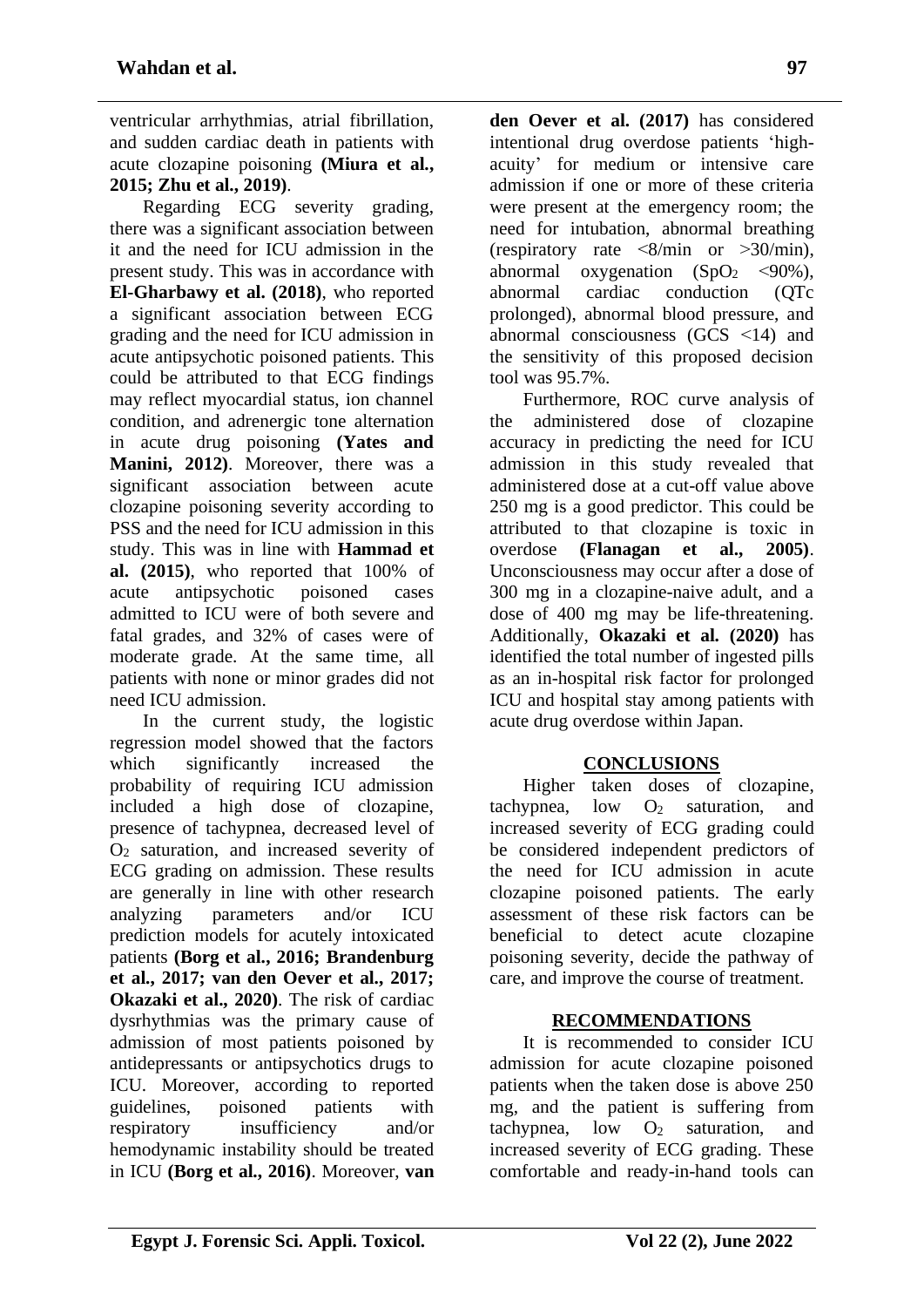ventricular arrhythmias, atrial fibrillation, and sudden cardiac death in patients with acute clozapine poisoning **(Miura et al., 2015; Zhu et al., 2019)**.

Regarding ECG severity grading, there was a significant association between it and the need for ICU admission in the present study. This was in accordance with **El-Gharbawy et al. (2018)**, who reported a significant association between ECG grading and the need for ICU admission in acute antipsychotic poisoned patients. This could be attributed to that ECG findings may reflect myocardial status, ion channel condition, and adrenergic tone alternation in acute drug poisoning **(Yates and Manini, 2012)**. Moreover, there was a significant association between acute clozapine poisoning severity according to PSS and the need for ICU admission in this study. This was in line with **Hammad et al. (2015)**, who reported that 100% of acute antipsychotic poisoned cases admitted to ICU were of both severe and fatal grades, and 32% of cases were of moderate grade. At the same time, all patients with none or minor grades did not need ICU admission.

In the current study, the logistic regression model showed that the factors which significantly increased the probability of requiring ICU admission included a high dose of clozapine, presence of tachypnea, decreased level of O<sup>2</sup> saturation, and increased severity of ECG grading on admission. These results are generally in line with other research analyzing parameters and/or ICU prediction models for acutely intoxicated patients **(Borg et al., 2016; Brandenburg et al., 2017; van den Oever et al., 2017; Okazaki et al., 2020)**. The risk of cardiac dysrhythmias was the primary cause of admission of most patients poisoned by antidepressants or antipsychotics drugs to ICU. Moreover, according to reported guidelines, poisoned patients with respiratory insufficiency and/or hemodynamic instability should be treated in ICU **(Borg et al., 2016)**. Moreover, **van**  **den Oever et al. (2017)** has considered intentional drug overdose patients 'highacuity' for medium or intensive care admission if one or more of these criteria were present at the emergency room; the need for intubation, abnormal breathing (respiratory rate  $\langle 8/\text{min}$  or  $>30/\text{min}$ ), abnormal oxygenation  $(SpO<sub>2</sub> < 90\%).$ abnormal cardiac conduction (QTc prolonged), abnormal blood pressure, and abnormal consciousness (GCS >14) and the sensitivity of this proposed decision tool was 95.7%.

Furthermore, ROC curve analysis of the administered dose of clozapine accuracy in predicting the need for ICU admission in this study revealed that administered dose at a cut-off value above 250 mg is a good predictor. This could be attributed to that clozapine is toxic in overdose **(Flanagan et al., 2005)**. Unconsciousness may occur after a dose of 300 mg in a clozapine-naive adult, and a dose of 400 mg may be life-threatening. Additionally, **Okazaki et al. (2020)** has identified the total number of ingested pills as an in-hospital risk factor for prolonged ICU and hospital stay among patients with acute drug overdose within Japan.

# **CONCLUSIONS**

Higher taken doses of clozapine, tachypnea,  $low$   $O_2$  saturation, and increased severity of ECG grading could be considered independent predictors of the need for ICU admission in acute clozapine poisoned patients. The early assessment of these risk factors can be beneficial to detect acute clozapine poisoning severity, decide the pathway of care, and improve the course of treatment.

# **RECOMMENDATIONS**

It is recommended to consider ICU admission for acute clozapine poisoned patients when the taken dose is above 250 mg, and the patient is suffering from tachypnea,  $low$   $O_2$  saturation, and increased severity of ECG grading. These comfortable and ready-in-hand tools can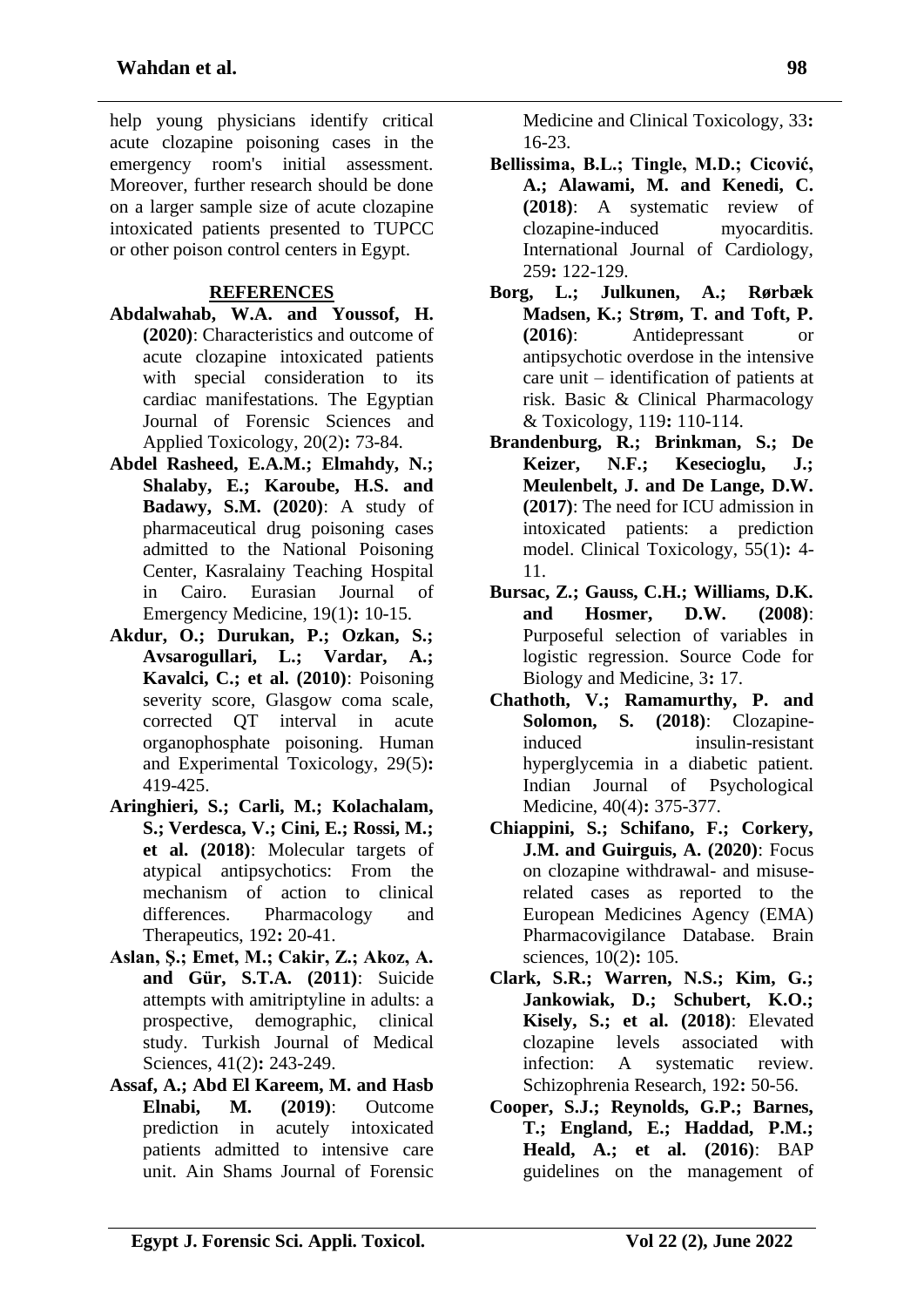help young physicians identify critical acute clozapine poisoning cases in the emergency room's initial assessment. Moreover, further research should be done on a larger sample size of acute clozapine intoxicated patients presented to TUPCC or other poison control centers in Egypt.

#### **REFERENCES**

- **Abdalwahab, W.A. and Youssof, H. (2020)**: Characteristics and outcome of acute clozapine intoxicated patients with special consideration to its cardiac manifestations. The Egyptian Journal of Forensic Sciences and Applied Toxicology, 20(2)**:** 73-84.
- **Abdel Rasheed, E.A.M.; Elmahdy, N.; Shalaby, E.; Karoube, H.S. and Badawy, S.M. (2020)**: A study of pharmaceutical drug poisoning cases admitted to the National Poisoning Center, Kasralainy Teaching Hospital in Cairo. Eurasian Journal of Emergency Medicine, 19(1)**:** 10-15.
- **Akdur, O.; Durukan, P.; Ozkan, S.; Avsarogullari, L.; Vardar, A.; Kavalci, C.; et al. (2010)**: Poisoning severity score, Glasgow coma scale, corrected QT interval in acute organophosphate poisoning. Human and Experimental Toxicology, 29(5)**:** 419-425.
- **Aringhieri, S.; Carli, M.; Kolachalam, S.; Verdesca, V.; Cini, E.; Rossi, M.; et al. (2018)**: Molecular targets of atypical antipsychotics: From the mechanism of action to clinical differences. Pharmacology and Therapeutics, 192**:** 20-41.
- **Aslan, Ş.; Emet, M.; Cakir, Z.; Akoz, A. and Gür, S.T.A. (2011)**: Suicide attempts with amitriptyline in adults: a prospective, demographic, clinical study. Turkish Journal of Medical Sciences, 41(2)**:** 243-249.
- **Assaf, A.; Abd El Kareem, M. and Hasb Elnabi, M. (2019)**: Outcome prediction in acutely intoxicated patients admitted to intensive care unit. Ain Shams Journal of Forensic

Medicine and Clinical Toxicology, 33**:** 16-23.

- **Bellissima, B.L.; Tingle, M.D.; Cicović, A.; Alawami, M. and Kenedi, C. (2018)**: A systematic review of clozapine-induced myocarditis. International Journal of Cardiology, 259**:** 122-129.
- **Borg, L.; Julkunen, A.; Rørbæk Madsen, K.; Strøm, T. and Toft, P. (2016)**: Antidepressant or antipsychotic overdose in the intensive care unit – identification of patients at risk. Basic & Clinical Pharmacology & Toxicology, 119**:** 110-114.
- **Brandenburg, R.; Brinkman, S.; De Keizer, N.F.; Kesecioglu, J.; Meulenbelt, J. and De Lange, D.W. (2017)**: The need for ICU admission in intoxicated patients: a prediction model. Clinical Toxicology, 55(1)**:** 4- 11.
- **Bursac, Z.; Gauss, C.H.; Williams, D.K. and Hosmer, D.W. (2008)**: Purposeful selection of variables in logistic regression. Source Code for Biology and Medicine, 3**:** 17.
- **Chathoth, V.; Ramamurthy, P. and Solomon, S. (2018)**: Clozapineinduced insulin-resistant hyperglycemia in a diabetic patient. Indian Journal of Psychological Medicine, 40(4)**:** 375-377.
- **Chiappini, S.; Schifano, F.; Corkery, J.M. and Guirguis, A. (2020)**: Focus on clozapine withdrawal- and misuserelated cases as reported to the European Medicines Agency (EMA) Pharmacovigilance Database. Brain sciences, 10(2)**:** 105.
- **Clark, S.R.; Warren, N.S.; Kim, G.; Jankowiak, D.; Schubert, K.O.; Kisely, S.; et al. (2018)**: Elevated clozapine levels associated with infection: A systematic review. Schizophrenia Research, 192**:** 50-56.
- **Cooper, S.J.; Reynolds, G.P.; Barnes, T.; England, E.; Haddad, P.M.; Heald, A.; et al. (2016)**: BAP guidelines on the management of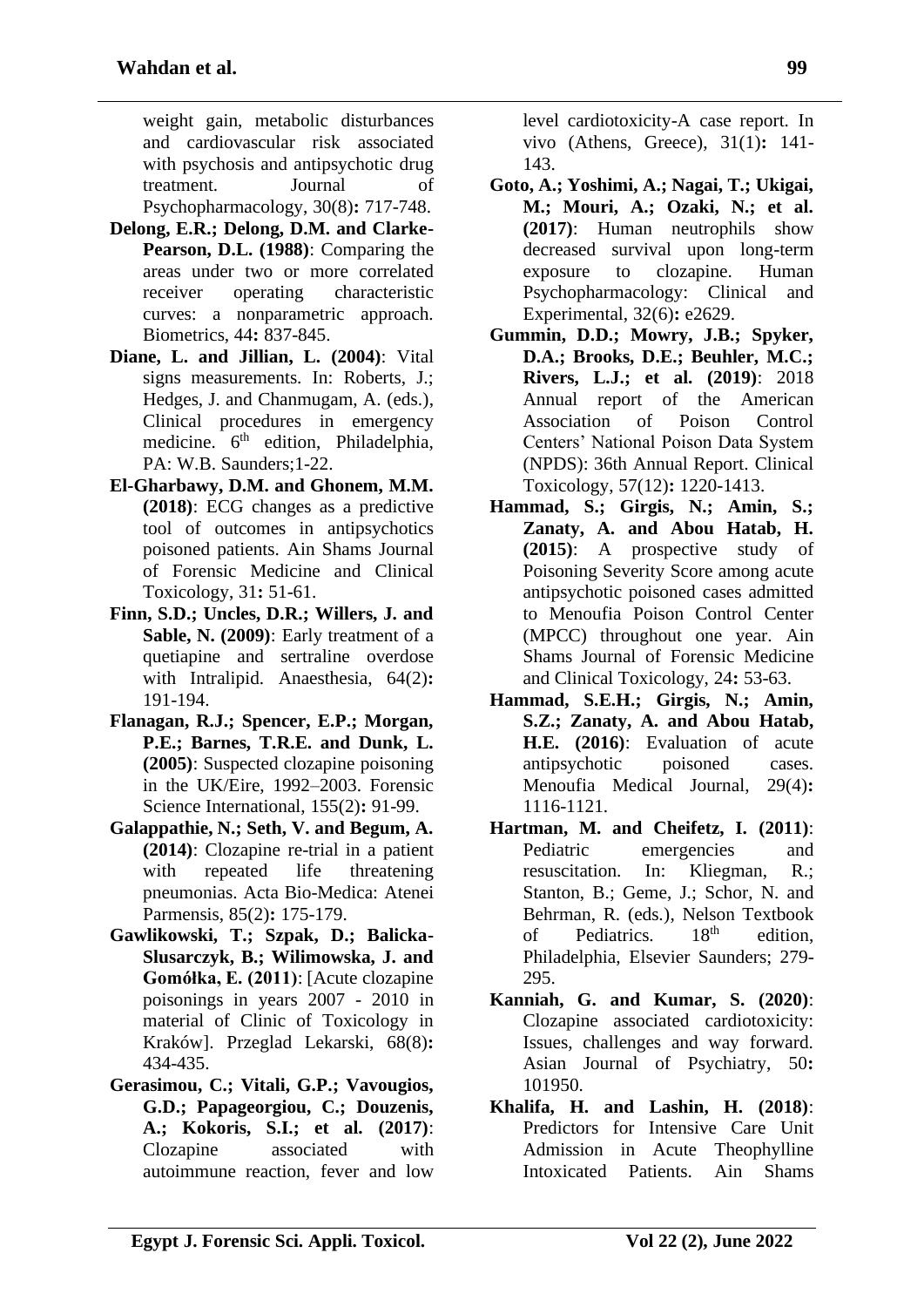weight gain, metabolic disturbances and cardiovascular risk associated with psychosis and antipsychotic drug treatment. Journal of Psychopharmacology, 30(8)**:** 717-748.

- **Delong, E.R.; Delong, D.M. and Clarke-Pearson, D.L. (1988)**: Comparing the areas under two or more correlated receiver operating characteristic curves: a nonparametric approach. Biometrics, 44**:** 837-845.
- **Diane, L. and Jillian, L. (2004)**: Vital signs measurements. In: Roberts, J.; Hedges, J. and Chanmugam, A. (eds.), Clinical procedures in emergency medicine. 6<sup>th</sup> edition, Philadelphia, PA: W.B. Saunders;1-22.
- **El-Gharbawy, D.M. and Ghonem, M.M. (2018)**: ECG changes as a predictive tool of outcomes in antipsychotics poisoned patients. Ain Shams Journal of Forensic Medicine and Clinical Toxicology, 31**:** 51-61.
- **Finn, S.D.; Uncles, D.R.; Willers, J. and Sable, N. (2009)**: Early treatment of a quetiapine and sertraline overdose with Intralipid. Anaesthesia, 64(2)**:** 191-194.
- **Flanagan, R.J.; Spencer, E.P.; Morgan, P.E.; Barnes, T.R.E. and Dunk, L. (2005)**: Suspected clozapine poisoning in the UK/Eire, 1992–2003. Forensic Science International, 155(2)**:** 91-99.
- **Galappathie, N.; Seth, V. and Begum, A. (2014)**: Clozapine re-trial in a patient with repeated life threatening pneumonias. Acta Bio-Medica: Atenei Parmensis, 85(2)**:** 175-179.
- **Gawlikowski, T.; Szpak, D.; Balicka-Slusarczyk, B.; Wilimowska, J. and Gomółka, E. (2011)**: [Acute clozapine poisonings in years 2007 - 2010 in material of Clinic of Toxicology in Kraków]. Przeglad Lekarski, 68(8)**:** 434-435.
- **Gerasimou, C.; Vitali, G.P.; Vavougios, G.D.; Papageorgiou, C.; Douzenis, A.; Kokoris, S.I.; et al. (2017)**: Clozapine associated with autoimmune reaction, fever and low

level cardiotoxicity-A case report. In vivo (Athens, Greece), 31(1)**:** 141- 143.

- **Goto, A.; Yoshimi, A.; Nagai, T.; Ukigai, M.; Mouri, A.; Ozaki, N.; et al. (2017)**: Human neutrophils show decreased survival upon long-term exposure to clozapine. Human Psychopharmacology: Clinical and Experimental, 32(6)**:** e2629.
- **Gummin, D.D.; Mowry, J.B.; Spyker, D.A.; Brooks, D.E.; Beuhler, M.C.; Rivers, L.J.; et al. (2019)**: 2018 Annual report of the American Association of Poison Control Centers' National Poison Data System (NPDS): 36th Annual Report. Clinical Toxicology, 57(12)**:** 1220-1413.
- **Hammad, S.; Girgis, N.; Amin, S.; Zanaty, A. and Abou Hatab, H. (2015)**: A prospective study of Poisoning Severity Score among acute antipsychotic poisoned cases admitted to Menoufia Poison Control Center (MPCC) throughout one year. Ain Shams Journal of Forensic Medicine and Clinical Toxicology, 24**:** 53-63.
- **Hammad, S.E.H.; Girgis, N.; Amin, S.Z.; Zanaty, A. and Abou Hatab, H.E. (2016)**: Evaluation of acute antipsychotic poisoned cases. Menoufia Medical Journal, 29(4)**:** 1116-1121.
- **Hartman, M. and Cheifetz, I. (2011)**: Pediatric emergencies and resuscitation. In: Kliegman, R.; Stanton, B.; Geme, J.; Schor, N. and Behrman, R. (eds.), Nelson Textbook of Pediatrics.  $18<sup>th</sup>$  edition, Philadelphia, Elsevier Saunders; 279- 295.
- **Kanniah, G. and Kumar, S. (2020)**: Clozapine associated cardiotoxicity: Issues, challenges and way forward. Asian Journal of Psychiatry, 50**:** 101950.
- **Khalifa, H. and Lashin, H. (2018)**: Predictors for Intensive Care Unit Admission in Acute Theophylline Intoxicated Patients. Ain Shams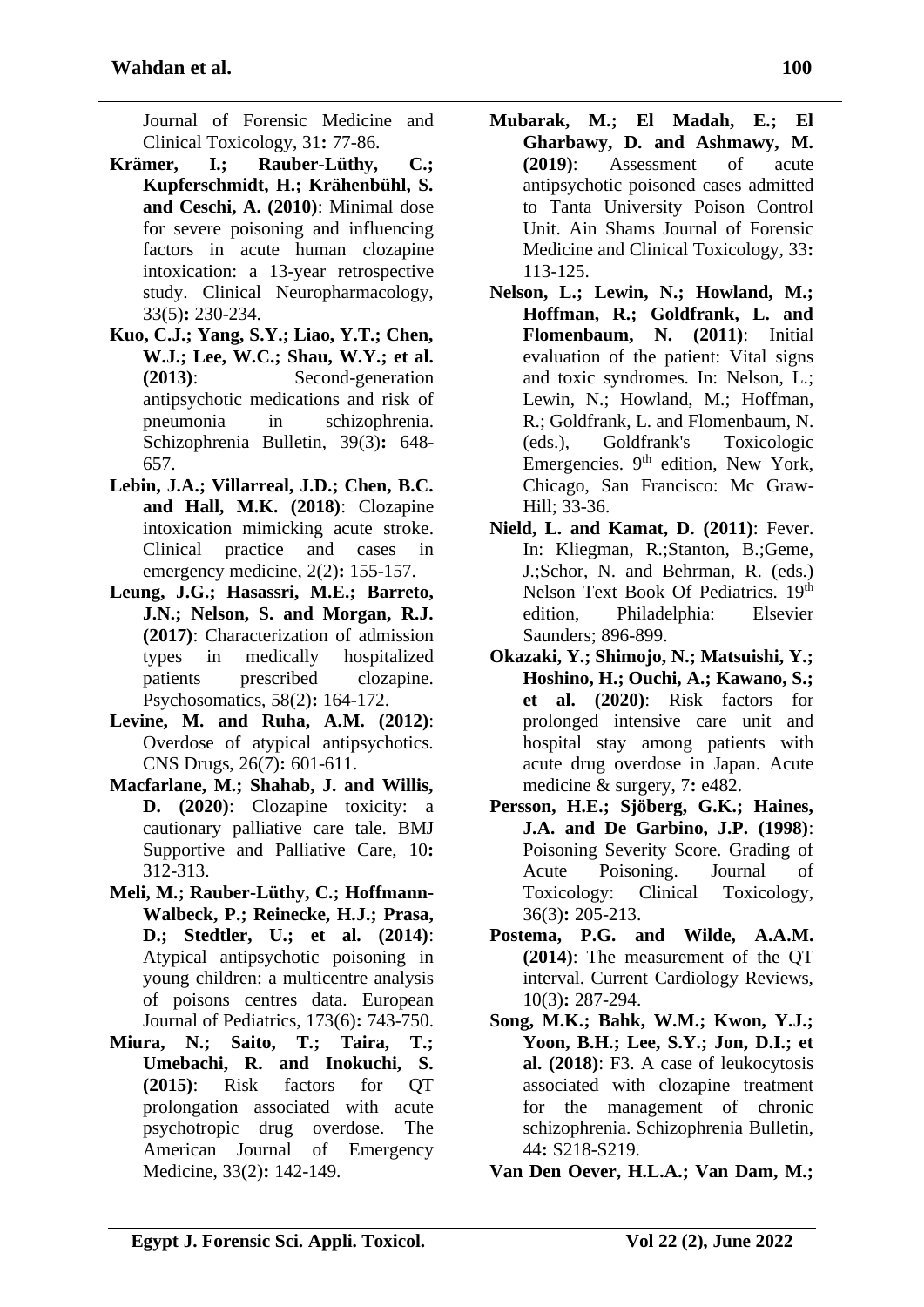Journal of Forensic Medicine and Clinical Toxicology, 31**:** 77-86.

- **Krämer, I.; Rauber-Lüthy, C.; Kupferschmidt, H.; Krähenbühl, S. and Ceschi, A. (2010)**: Minimal dose for severe poisoning and influencing factors in acute human clozapine intoxication: a 13-year retrospective study. Clinical Neuropharmacology, 33(5)**:** 230-234.
- **Kuo, C.J.; Yang, S.Y.; Liao, Y.T.; Chen, W.J.; Lee, W.C.; Shau, W.Y.; et al. (2013)**: Second-generation antipsychotic medications and risk of pneumonia in schizophrenia. Schizophrenia Bulletin, 39(3)**:** 648- 657.
- **Lebin, J.A.; Villarreal, J.D.; Chen, B.C. and Hall, M.K. (2018)**: Clozapine intoxication mimicking acute stroke. Clinical practice and cases in emergency medicine, 2(2)**:** 155-157.
- **Leung, J.G.; Hasassri, M.E.; Barreto, J.N.; Nelson, S. and Morgan, R.J. (2017)**: Characterization of admission types in medically hospitalized patients prescribed clozapine. Psychosomatics, 58(2)**:** 164-172.
- **Levine, M. and Ruha, A.M. (2012)**: Overdose of atypical antipsychotics. CNS Drugs, 26(7)**:** 601-611.
- **Macfarlane, M.; Shahab, J. and Willis, D. (2020)**: Clozapine toxicity: a cautionary palliative care tale. BMJ Supportive and Palliative Care, 10**:** 312-313.
- **Meli, M.; Rauber-Lüthy, C.; Hoffmann-Walbeck, P.; Reinecke, H.J.; Prasa, D.; Stedtler, U.; et al. (2014)**: Atypical antipsychotic poisoning in young children: a multicentre analysis of poisons centres data. European Journal of Pediatrics, 173(6)**:** 743-750.
- **Miura, N.; Saito, T.; Taira, T.; Umebachi, R. and Inokuchi, S. (2015)**: Risk factors for QT prolongation associated with acute psychotropic drug overdose. The American Journal of Emergency Medicine, 33(2)**:** 142-149.
- **Mubarak, M.; El Madah, E.; El Gharbawy, D. and Ashmawy, M. (2019)**: Assessment of acute antipsychotic poisoned cases admitted to Tanta University Poison Control Unit. Ain Shams Journal of Forensic Medicine and Clinical Toxicology, 33**:** 113-125.
- **Nelson, L.; Lewin, N.; Howland, M.; Hoffman, R.; Goldfrank, L. and Flomenbaum, N. (2011)**: Initial evaluation of the patient: Vital signs and toxic syndromes. In: Nelson, L.; Lewin, N.; Howland, M.; Hoffman, R.; Goldfrank, L. and Flomenbaum, N. (eds.), Goldfrank's Toxicologic Emergencies.  $9<sup>th</sup>$  edition, New York, Chicago, San Francisco: Mc Graw-Hill; 33-36.
- **Nield, L. and Kamat, D. (2011)**: Fever. In: Kliegman, R.;Stanton, B.:Geme. J.;Schor, N. and Behrman, R. (eds.) Nelson Text Book Of Pediatrics. 19th edition, Philadelphia: Elsevier Saunders; 896-899.
- **Okazaki, Y.; Shimojo, N.; Matsuishi, Y.; Hoshino, H.; Ouchi, A.; Kawano, S.; et al. (2020)**: Risk factors for prolonged intensive care unit and hospital stay among patients with acute drug overdose in Japan. Acute medicine & surgery, 7**:** e482.
- **Persson, H.E.; Sjöberg, G.K.; Haines, J.A. and De Garbino, J.P. (1998)**: Poisoning Severity Score. Grading of Acute Poisoning. Journal of Toxicology: Clinical Toxicology, 36(3)**:** 205-213.
- **Postema, P.G. and Wilde, A.A.M. (2014)**: The measurement of the QT interval. Current Cardiology Reviews, 10(3)**:** 287-294.
- **Song, M.K.; Bahk, W.M.; Kwon, Y.J.; Yoon, B.H.; Lee, S.Y.; Jon, D.I.; et al. (2018)**: F3. A case of leukocytosis associated with clozapine treatment for the management of chronic schizophrenia. Schizophrenia Bulletin, 44**:** S218-S219.

**Van Den Oever, H.L.A.; Van Dam, M.;**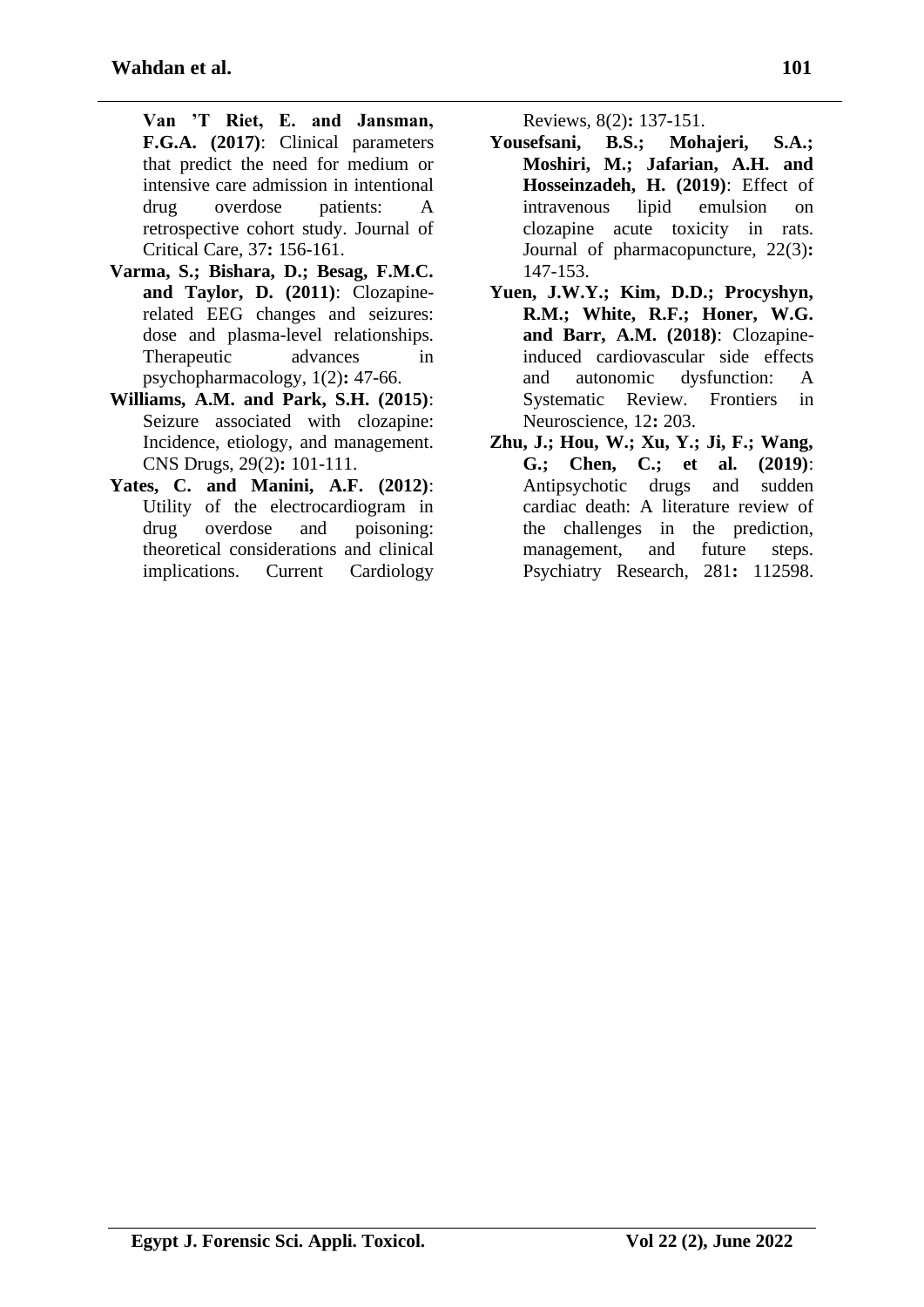**Van 'T Riet, E. and Jansman, F.G.A. (2017)**: Clinical parameters that predict the need for medium or intensive care admission in intentional drug overdose patients: A retrospective cohort study. Journal of Critical Care, 37**:** 156-161.

- **Varma, S.; Bishara, D.; Besag, F.M.C. and Taylor, D. (2011)**: Clozapinerelated EEG changes and seizures: dose and plasma-level relationships. Therapeutic advances in psychopharmacology, 1(2)**:** 47-66.
- **Williams, A.M. and Park, S.H. (2015)**: Seizure associated with clozapine: Incidence, etiology, and management. CNS Drugs, 29(2)**:** 101-111.
- **Yates, C. and Manini, A.F. (2012)**: Utility of the electrocardiogram in drug overdose and poisoning: theoretical considerations and clinical implications. Current Cardiology

Reviews, 8(2)**:** 137-151.

- **Yousefsani, B.S.; Mohajeri, S.A.; Moshiri, M.; Jafarian, A.H. and Hosseinzadeh, H. (2019)**: Effect of intravenous lipid emulsion on clozapine acute toxicity in rats. Journal of pharmacopuncture, 22(3)**:** 147-153.
- **Yuen, J.W.Y.; Kim, D.D.; Procyshyn, R.M.; White, R.F.; Honer, W.G. and Barr, A.M. (2018)**: Clozapineinduced cardiovascular side effects and autonomic dysfunction: A Systematic Review. Frontiers in Neuroscience, 12**:** 203.
- **Zhu, J.; Hou, W.; Xu, Y.; Ji, F.; Wang, G.; Chen, C.; et al. (2019)**: Antipsychotic drugs and sudden cardiac death: A literature review of the challenges in the prediction, management, and future steps. Psychiatry Research, 281**:** 112598.